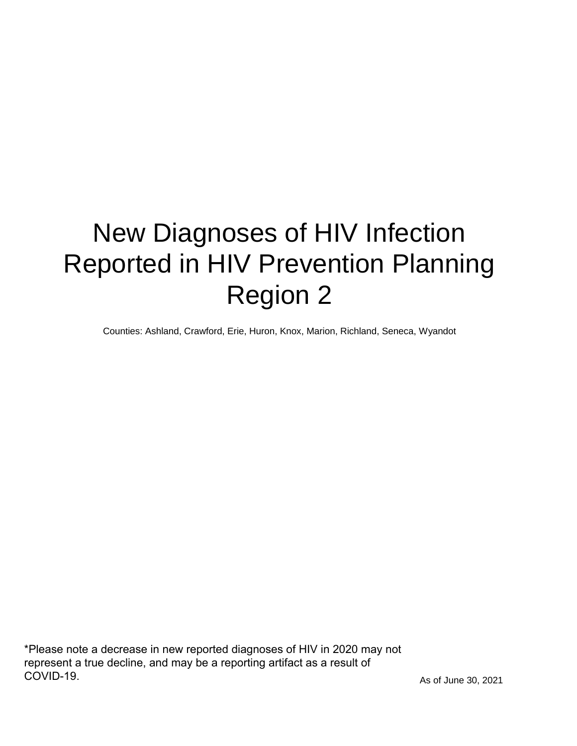# New Diagnoses of HIV Infection Reported in HIV Prevention Planning Region 2

Counties: Ashland, Crawford, Erie, Huron, Knox, Marion, Richland, Seneca, Wyandot

\*Please note a decrease in new reported diagnoses of HIV in 2020 may not represent a true decline, and may be a reporting artifact as a result of COVID-19.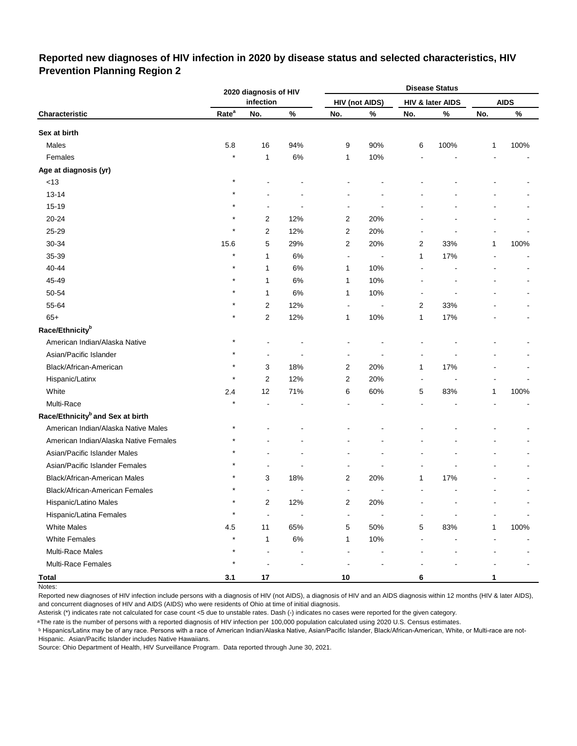### **Reported new diagnoses of HIV infection in 2020 by disease status and selected characteristics, HIV Prevention Planning Region 2**

|                                              |                   | 2020 diagnosis of HIV |       |                         |                       |                | <b>Disease Status</b> |              |             |
|----------------------------------------------|-------------------|-----------------------|-------|-------------------------|-----------------------|----------------|-----------------------|--------------|-------------|
|                                              |                   | infection             |       |                         | <b>HIV (not AIDS)</b> |                | HIV & later AIDS      |              | <b>AIDS</b> |
| Characteristic                               | Rate <sup>a</sup> | No.                   | $\%$  | No.                     | $\%$                  | No.            | $\%$                  | No.          | $\%$        |
| Sex at birth                                 |                   |                       |       |                         |                       |                |                       |              |             |
| Males                                        | 5.8               | 16                    | 94%   | 9                       | 90%                   | 6              | 100%                  | 1            | 100%        |
| Females                                      | $\star$           | 1                     | 6%    | 1                       | 10%                   |                |                       |              |             |
| Age at diagnosis (yr)                        |                   |                       |       |                         |                       |                |                       |              |             |
| $<13$                                        | $\star$           |                       |       |                         |                       |                |                       |              |             |
| $13 - 14$                                    |                   |                       |       |                         |                       |                |                       |              |             |
| 15-19                                        |                   |                       |       |                         |                       |                |                       |              |             |
| 20-24                                        |                   | 2                     | 12%   | 2                       | 20%                   |                |                       |              |             |
| 25-29                                        | $\star$           | 2                     | 12%   | 2                       | 20%                   |                |                       |              |             |
| 30-34                                        | 15.6              | 5                     | 29%   | 2                       | 20%                   | 2              | 33%                   | 1            | 100%        |
| 35-39                                        | $\star$           | 1                     | 6%    | $\blacksquare$          |                       | 1              | 17%                   |              |             |
| 40-44                                        | $\star$           | 1                     | 6%    | 1                       | 10%                   |                |                       |              |             |
| 45-49                                        | $\star$           | 1                     | 6%    | 1                       | 10%                   |                |                       |              |             |
| 50-54                                        |                   | 1                     | 6%    | 1                       | 10%                   |                |                       |              |             |
| 55-64                                        |                   | 2                     | 12%   | $\blacksquare$          |                       | 2              | 33%                   |              |             |
| $65+$                                        |                   | 2                     | 12%   | 1                       | 10%                   | 1              | 17%                   |              |             |
| Race/Ethnicity <sup>b</sup>                  |                   |                       |       |                         |                       |                |                       |              |             |
| American Indian/Alaska Native                |                   |                       |       |                         |                       |                |                       |              |             |
| Asian/Pacific Islander                       |                   |                       |       |                         |                       |                |                       |              |             |
| Black/African-American                       |                   | 3                     | 18%   | 2                       | 20%                   | 1              | 17%                   |              |             |
| Hispanic/Latinx                              | $\star$           | 2                     | 12%   | 2                       | 20%                   | $\overline{a}$ |                       |              |             |
| White                                        | 2.4               | 12                    | 71%   | 6                       | 60%                   | 5              | 83%                   | 1            | 100%        |
| Multi-Race                                   | $\star$           |                       |       |                         |                       |                |                       |              |             |
| Race/Ethnicity <sup>b</sup> and Sex at birth |                   |                       |       |                         |                       |                |                       |              |             |
| American Indian/Alaska Native Males          | $^\ast$           |                       |       |                         |                       |                |                       |              |             |
| American Indian/Alaska Native Females        |                   |                       |       |                         |                       |                |                       |              |             |
| Asian/Pacific Islander Males                 |                   |                       |       |                         |                       |                |                       |              |             |
| Asian/Pacific Islander Females               |                   |                       |       |                         |                       |                |                       |              |             |
| Black/African-American Males                 |                   | 3                     | 18%   | 2                       | 20%                   | 1              | 17%                   |              |             |
| Black/African-American Females               | $\star$           | ۰                     |       | ä,                      | ä,                    |                | ä,                    |              |             |
| Hispanic/Latino Males                        | $\star$           | $\boldsymbol{2}$      | 12%   | $\overline{\mathbf{c}}$ | 20%                   |                |                       |              |             |
| Hispanic/Latina Females                      | $\star$           | ä,                    |       | $\blacksquare$          |                       |                |                       |              |             |
| <b>White Males</b>                           | 4.5               | 11                    | 65%   | 5                       | 50%                   | 5              | 83%                   | $\mathbf{1}$ | 100%        |
| <b>White Females</b>                         | $\star$           | 1                     | $6\%$ | 1                       | 10%                   |                |                       |              |             |
| Multi-Race Males                             | $\star$           | ÷,                    |       |                         |                       |                |                       |              |             |
| Multi-Race Females                           |                   |                       |       |                         |                       |                |                       |              |             |
| <b>Total</b>                                 | 3.1               | 17                    |       | $10\,$                  |                       | 6              |                       | 1            |             |

Notes:

Reported new diagnoses of HIV infection include persons with a diagnosis of HIV (not AIDS), a diagnosis of HIV and an AIDS diagnosis within 12 months (HIV & later AIDS), and concurrent diagnoses of HIV and AIDS (AIDS) who were residents of Ohio at time of initial diagnosis.

Asterisk (\*) indicates rate not calculated for case count <5 due to unstable rates. Dash (-) indicates no cases were reported for the given category.

<sup>a</sup>The rate is the number of persons with a reported diagnosis of HIV infection per 100,000 population calculated using 2020 U.S. Census estimates.

ᵇ Hispanics/Latinx may be of any race. Persons with a race of American Indian/Alaska Native, Asian/Pacific Islander, Black/African-American, White, or Multi-race are not-Hispanic. Asian/Pacific Islander includes Native Hawaiians.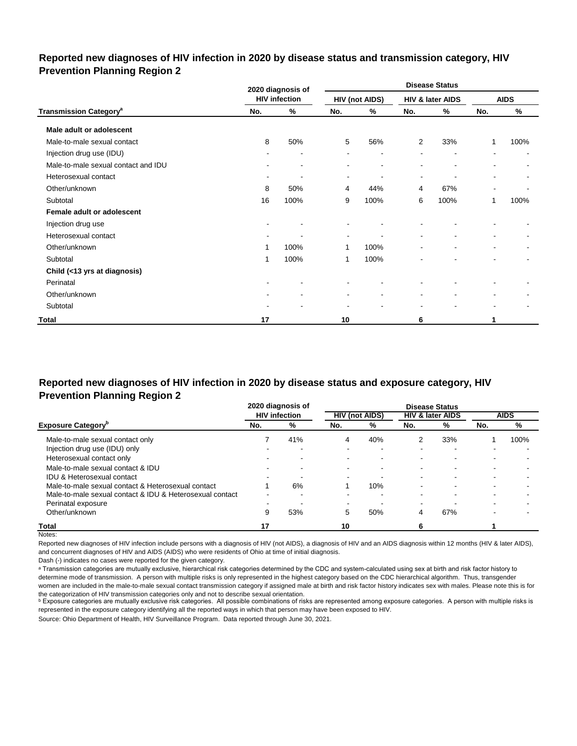### **Reported new diagnoses of HIV infection in 2020 by disease status and transmission category, HIV Prevention Planning Region 2**

|                                          |        | 2020 diagnosis of        |                          |                       |                          | <b>Disease Status</b>    |                          |                          |
|------------------------------------------|--------|--------------------------|--------------------------|-----------------------|--------------------------|--------------------------|--------------------------|--------------------------|
|                                          |        | <b>HIV infection</b>     |                          | <b>HIV (not AIDS)</b> |                          | HIV & later AIDS         |                          | <b>AIDS</b>              |
| <b>Transmission Category<sup>a</sup></b> | No.    | %                        | No.                      | %                     | No.                      | %                        | No.                      | %                        |
| Male adult or adolescent                 |        |                          |                          |                       |                          |                          |                          |                          |
| Male-to-male sexual contact              | 8      | 50%                      | 5                        | 56%                   | 2                        | 33%                      | 1                        | 100%                     |
| Injection drug use (IDU)                 |        | $\overline{\phantom{a}}$ |                          |                       |                          | $\overline{\phantom{a}}$ |                          |                          |
| Male-to-male sexual contact and IDU      | $\sim$ | $\blacksquare$           |                          | ۰                     |                          | $\blacksquare$           |                          |                          |
| Heterosexual contact                     | ٠      | $\overline{\phantom{a}}$ | ۰                        | ۰                     | $\blacksquare$           | $\blacksquare$           | $\overline{\phantom{a}}$ | ۰                        |
| Other/unknown                            | 8      | 50%                      | 4                        | 44%                   | 4                        | 67%                      | $\overline{\phantom{a}}$ |                          |
| Subtotal                                 | 16     | 100%                     | 9                        | 100%                  | 6                        | 100%                     | 1                        | 100%                     |
| Female adult or adolescent               |        |                          |                          |                       |                          |                          |                          |                          |
| Injection drug use                       |        |                          |                          |                       |                          |                          |                          |                          |
| Heterosexual contact                     |        |                          | $\overline{\phantom{a}}$ |                       | $\overline{\phantom{a}}$ |                          | ۰                        |                          |
| Other/unknown                            | 1      | 100%                     | 1                        | 100%                  |                          | ۰                        | $\sim$                   | $\overline{\phantom{a}}$ |
| Subtotal                                 | 1      | 100%                     | 1                        | 100%                  |                          |                          |                          |                          |
| Child (<13 yrs at diagnosis)             |        |                          |                          |                       |                          |                          |                          |                          |
| Perinatal                                |        | ۰                        |                          |                       |                          |                          |                          |                          |
| Other/unknown                            |        | $\blacksquare$           | $\blacksquare$           | $\blacksquare$        | $\blacksquare$           | $\blacksquare$           | $\blacksquare$           |                          |
| Subtotal                                 |        |                          |                          |                       | $\overline{\phantom{a}}$ | ٠                        | $\blacksquare$           |                          |
| Total                                    | 17     |                          | 10                       |                       | 6                        |                          | 1                        |                          |

# **Reported new diagnoses of HIV infection in 2020 by disease status and exposure category, HIV Prevention Planning Region 2**

|                                                          |     | 2020 diagnosis of        |                          |                          |                          | <b>Disease Status</b>       |                          |                          |
|----------------------------------------------------------|-----|--------------------------|--------------------------|--------------------------|--------------------------|-----------------------------|--------------------------|--------------------------|
|                                                          |     | <b>HIV</b> infection     |                          | <b>HIV (not AIDS)</b>    |                          | <b>HIV &amp; later AIDS</b> |                          | <b>AIDS</b>              |
| <b>Exposure Category</b> <sup>p</sup>                    | No. | %                        | No.                      | %                        | No.                      | %                           | No.                      | %                        |
| Male-to-male sexual contact only                         |     | 41%                      | 4                        | 40%                      |                          | 33%                         |                          | 100%                     |
| Injection drug use (IDU) only                            |     | -                        | ۰.                       |                          | ۰                        | -                           |                          |                          |
| Heterosexual contact only                                |     | -                        | -                        | -                        | -                        |                             |                          |                          |
| Male-to-male sexual contact & IDU                        | -   | $\overline{\phantom{0}}$ | ۰.                       | $\overline{\phantom{0}}$ | ۰                        | -                           | $\overline{\phantom{0}}$ | $\overline{\phantom{0}}$ |
| <b>IDU &amp; Heterosexual contact</b>                    |     |                          |                          |                          | ۰                        |                             |                          |                          |
| Male-to-male sexual contact & Heterosexual contact       |     | 6%                       |                          | 10%                      |                          |                             |                          |                          |
| Male-to-male sexual contact & IDU & Heterosexual contact | -   |                          |                          | -                        |                          |                             |                          |                          |
| Perinatal exposure                                       |     |                          | $\overline{\phantom{0}}$ |                          | $\overline{\phantom{0}}$ |                             |                          |                          |
| Other/unknown                                            | 9   | 53%                      | 5                        | 50%                      | 4                        | 67%                         |                          |                          |
| Total                                                    | 17  |                          | 10                       |                          |                          |                             |                          |                          |

Notes:

Reported new diagnoses of HIV infection include persons with a diagnosis of HIV (not AIDS), a diagnosis of HIV and an AIDS diagnosis within 12 months (HIV & later AIDS), and concurrent diagnoses of HIV and AIDS (AIDS) who were residents of Ohio at time of initial diagnosis.

Dash (-) indicates no cases were reported for the given category.

a Transmission categories are mutually exclusive, hierarchical risk categories determined by the CDC and system-calculated using sex at birth and risk factor history to determine mode of transmission. A person with multiple risks is only represented in the highest category based on the CDC hierarchical algorithm. Thus, transgender women are included in the male-to-male sexual contact transmission category if assigned male at birth and risk factor history indicates sex with males. Please note this is for the categorization of HIV transmission categories only and not to describe sexual orientation.

**b** Exposure categories are mutually exclusive risk categories. All possible combinations of risks are represented among exposure categories. A person with multiple risks is represented in the exposure category identifying all the reported ways in which that person may have been exposed to HIV.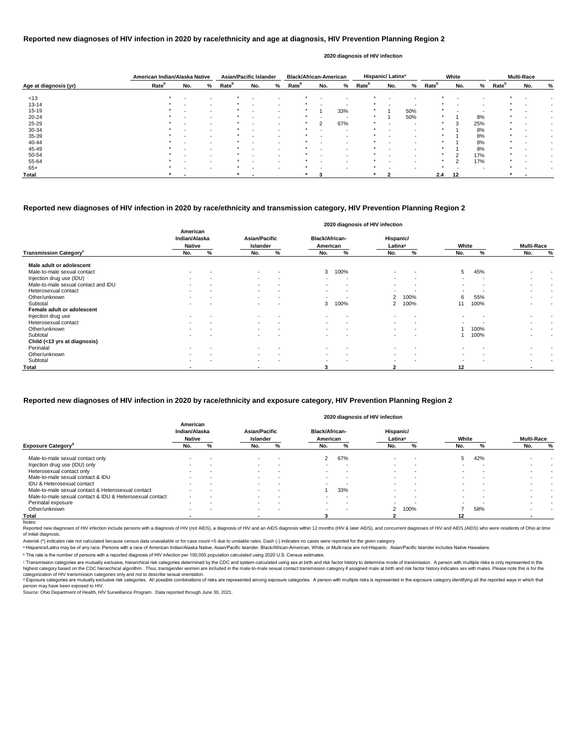|                       | American Indian/Alaska Native |                          |                          | <b>Asian/Pacific Islander</b> |                          |   | <b>Black/African-American</b> |     |                          |                   | Hispanic/Latinx <sup>a</sup> |     |                   | White                    |     |                   | <b>Multi-Race</b> |   |
|-----------------------|-------------------------------|--------------------------|--------------------------|-------------------------------|--------------------------|---|-------------------------------|-----|--------------------------|-------------------|------------------------------|-----|-------------------|--------------------------|-----|-------------------|-------------------|---|
| Age at diagnosis (yr) | Rate <sup>b</sup>             | No.                      | %                        | <b>Rate</b> <sup>b</sup>      | No.                      | % | Rate <sup>b</sup>             | No. | %                        | Rate <sup>b</sup> | No.                          | %   | Rate <sup>b</sup> | No.                      | %   | Rate <sup>b</sup> | No.               | % |
| < 13                  | $\star$                       | $\overline{\phantom{0}}$ | $\overline{\phantom{a}}$ |                               |                          |   |                               |     |                          | *                 |                              |     |                   |                          |     |                   |                   |   |
| $13 - 14$             |                               |                          | $\sim$                   |                               |                          |   |                               |     | -                        |                   |                              |     |                   |                          |     |                   |                   |   |
| $15 - 19$             |                               | $\blacksquare$           | $\sim$                   |                               | $\sim$                   |   | $\ast$                        |     | 33%                      | $\ast$            |                              | 50% |                   | $\overline{\phantom{0}}$ |     |                   |                   |   |
| $20 - 24$             |                               |                          | $\sim$                   |                               |                          |   | $\ast$                        |     | -                        | *                 |                              | 50% |                   |                          | 8%  | $\star$           |                   |   |
| 25-29                 |                               | $\overline{\phantom{0}}$ | $\overline{\phantom{a}}$ |                               | $\overline{\phantom{a}}$ |   | $\ast$                        | 2   | 67%                      | *                 |                              |     |                   | 3                        | 25% | $\star$           |                   |   |
| 30-34                 |                               |                          | $\sim$                   |                               |                          |   |                               |     | -                        |                   |                              |     |                   |                          | 8%  | $\star$           |                   |   |
| 35-39                 |                               | $\overline{\phantom{0}}$ | $\sim$                   |                               | $\overline{\phantom{a}}$ |   |                               |     | $\overline{\phantom{a}}$ | *                 |                              |     | $\star$           |                          | 8%  | $\star$           |                   |   |
| 40-44                 |                               |                          |                          |                               |                          |   |                               |     |                          |                   |                              |     |                   |                          | 8%  | $\star$           |                   |   |
| 45-49                 |                               |                          |                          |                               | $\overline{\phantom{a}}$ |   |                               |     | -                        |                   |                              |     |                   |                          | 8%  |                   |                   |   |
| 50-54                 |                               |                          |                          |                               |                          |   |                               |     |                          |                   |                              |     |                   | っ                        | 17% | $\star$           |                   |   |
| 55-64                 |                               |                          |                          |                               |                          |   |                               |     |                          |                   |                              |     |                   | C                        | 17% | $\star$           |                   |   |
| $65+$                 |                               |                          | $\overline{\phantom{a}}$ |                               | $\overline{\phantom{a}}$ |   |                               |     | $\overline{\phantom{a}}$ |                   |                              |     |                   |                          |     |                   |                   |   |
| <b>Total</b>          |                               |                          |                          |                               |                          |   |                               |     |                          |                   |                              |     | 2.4               | 12                       |     |                   |                   |   |

Reported new diagnoses of HIV infection include persons with a diagnosis of HIV (not AIDS), a diagnosis of HIV and an AIDS diagnosis within 12 months (HIV & later AIDS), and concurrent diagnoses of HIV and AIDS (AIDS) who of initial diagnosis.

|                                           |                                            |   |                                  |                          |                                   | 2020 diagnosis of HIV infection |                                  |                          |       |      |                   |        |
|-------------------------------------------|--------------------------------------------|---|----------------------------------|--------------------------|-----------------------------------|---------------------------------|----------------------------------|--------------------------|-------|------|-------------------|--------|
|                                           | American<br>Indian/Alaska<br><b>Native</b> |   | <b>Asian/Pacific</b><br>Islander |                          | <b>Black/African-</b><br>American |                                 | Hispanic/<br>Latinx <sup>a</sup> |                          | White |      | <b>Multi-Race</b> |        |
| <b>Transmission Category</b> <sup>c</sup> | No.                                        | % | No.                              | %                        | No.                               | %                               | No.                              | %                        | No.   | %    | No.               | %      |
| Male adult or adolescent                  |                                            |   |                                  |                          |                                   |                                 |                                  |                          |       |      |                   |        |
| Male-to-male sexual contact               | $\sim$                                     |   | $\sim$                           | $\overline{\phantom{a}}$ | 3                                 | 100%                            | $\blacksquare$                   | $\blacksquare$           | 5     | 45%  |                   |        |
| Injection drug use (IDU)                  | $\sim$                                     |   | $\sim$                           | $\overline{\phantom{a}}$ | $\sim$                            | $\overline{\phantom{a}}$        | $\sim$                           | $\overline{\phantom{a}}$ |       |      | $\blacksquare$    |        |
| Male-to-male sexual contact and IDU       | $\sim$                                     |   | $\sim$                           | $\overline{\phantom{a}}$ | $\sim$                            | $\,$ $\,$                       | $\,$                             | $\,$ $\,$                |       |      | $\sim$            |        |
| Heterosexual contact                      | $\blacksquare$                             |   | $\sim$                           | $\overline{\phantom{a}}$ | $\sim$                            | $\overline{\phantom{a}}$        | $\overline{\phantom{a}}$         | $\overline{\phantom{a}}$ |       |      | $\blacksquare$    |        |
| Other/unknown                             | $\overline{\phantom{0}}$                   |   | $\sim$                           | $\overline{\phantom{a}}$ | $\sim$                            | . .                             | $\overline{2}$                   | 100%                     | 6     | 55%  | $\blacksquare$    | $\sim$ |
| Subtotal                                  |                                            |   |                                  |                          | 3                                 | 100%                            | 2                                | 100%                     | 11    | 100% |                   |        |
| Female adult or adolescent                |                                            |   |                                  |                          |                                   |                                 |                                  |                          |       |      |                   |        |
| Injection drug use                        | $\sim$                                     |   | $\sim$                           | $\overline{\phantom{a}}$ | $\sim$                            | $\overline{\phantom{a}}$        | $\blacksquare$                   | $\overline{\phantom{a}}$ |       |      | $\blacksquare$    |        |
| Heterosexual contact                      |                                            |   | $\sim$                           |                          |                                   |                                 |                                  | $\overline{\phantom{0}}$ |       |      |                   |        |
| Other/unknown                             |                                            |   | $\sim$                           | $\overline{\phantom{0}}$ | $\sim$                            |                                 |                                  | $\overline{\phantom{0}}$ |       | 100% |                   |        |
| Subtotal                                  | $\sim$                                     |   | $\sim$                           |                          | $\,$                              |                                 | $\blacksquare$                   | $\overline{\phantom{a}}$ |       | 100% | $\,$              |        |
| Child (<13 yrs at diagnosis)              |                                            |   |                                  |                          |                                   |                                 |                                  |                          |       |      |                   |        |
| Perinatal                                 |                                            |   |                                  |                          |                                   |                                 |                                  |                          |       |      |                   |        |
| Other/unknown                             | $\overline{\phantom{a}}$                   |   | $\sim$                           | $\overline{\phantom{a}}$ | $\,$                              | $\overline{\phantom{a}}$        | $\overline{\phantom{a}}$         | $\overline{\phantom{a}}$ |       |      | $\,$              |        |
| Subtotal                                  | $\,$                                       |   | $\sim$                           |                          | $\,$                              |                                 | $\blacksquare$                   | $\overline{\phantom{0}}$ |       |      |                   |        |
| <b>Total</b>                              |                                            |   | $\overline{\phantom{a}}$         |                          | 3                                 |                                 | 2                                |                          | 12    |      | ۰                 |        |

© Transmission categories are mutually exclusive, hierarchical risk categories determined by the CDC and system-calculated using sex at birth and risk factor history to determine mode of transmission. A person with multip highest category based on the CDC hierarchical algorithm. Thus, transgender women are included in the male-to-male sexual contact transmission category if assigned male at birth and risk factor history indicates sex with m categorization of HIV transmission categories only and not to describe sexual orientation.

#### **Reported new diagnoses of HIV infection in 2020 by race/ethnicity and age at diagnosis, HIV Prevention Planning Region 2**

d Exposure categories are mutually exclusive risk categories. All possible combinations of risks are represented among exposure categories. A person with multiple risks is represented in the exposure category identifying a person may have been exposed to HIV.

Source: Ohio Department of Health, HIV Surveillance Program. Data reported through June 30, 2021.

#### **2020 diagnosis of HIV infection**

### **Reported new diagnoses of HIV infection in 2020 by race/ethnicity and transmission category, HIV Prevention Planning Region 2**

|                                                          |                                            |     |                                  |                          |                                   |                          | 2020 diagnosis of HIV infection  |        |                          |     |                          |        |
|----------------------------------------------------------|--------------------------------------------|-----|----------------------------------|--------------------------|-----------------------------------|--------------------------|----------------------------------|--------|--------------------------|-----|--------------------------|--------|
|                                                          | American<br>Indian/Alaska<br><b>Native</b> |     | <b>Asian/Pacific</b><br>Islander |                          | <b>Black/African-</b><br>American |                          | Hispanic/<br>Latinx <sup>a</sup> |        | White                    |     | <b>Multi-Race</b>        |        |
| <b>Exposure Category</b> <sup>o</sup>                    | No.                                        | %   | No.                              | %                        | No.                               | %                        | No.                              | %      | No.                      |     | No.                      | %      |
| Male-to-male sexual contact only                         |                                            |     | $\sim$                           |                          | $\mathbf{2}$                      | 67%                      | $\,$ $\,$                        |        | 5                        | 42% |                          |        |
| Injection drug use (IDU) only                            | $\sim$                                     |     | $\sim$                           | $\sim$                   |                                   |                          | $\overline{\phantom{0}}$         | $\sim$ |                          |     |                          |        |
| Heterosexual contact only                                | $\,$                                       |     | $\sim$                           | $\,$ $\,$                | $\sim$                            | $\overline{\phantom{a}}$ | $\blacksquare$                   |        | $\overline{\phantom{a}}$ |     |                          |        |
| Male-to-male sexual contact & IDU                        | $\sim$                                     |     | $\sim$                           | $\overline{\phantom{0}}$ | $\sim$                            | . .                      | $\overline{\phantom{0}}$         |        | $\sim$                   |     | $\overline{\phantom{0}}$ | $\sim$ |
| IDU & Heterosexual contact                               | $\overline{\phantom{0}}$                   |     | $\sim$                           | $\overline{\phantom{0}}$ |                                   |                          | $\overline{\phantom{0}}$         |        |                          |     | $\overline{\phantom{a}}$ | $\sim$ |
| Male-to-male sexual contact & Heterosexual contact       |                                            |     | $\sim$                           |                          |                                   | 33%                      |                                  |        |                          |     |                          |        |
| Male-to-male sexual contact & IDU & Heterosexual contact | $\overline{\phantom{a}}$                   |     |                                  | . .                      |                                   |                          |                                  |        |                          |     |                          |        |
| Perinatal exposure                                       | $\sim$                                     | . . | $\sim$                           | $\sim$                   | $\sim$                            | $\overline{\phantom{a}}$ | $\overline{\phantom{0}}$         |        | $\sim$                   |     |                          | $\sim$ |
| Other/unknown                                            | $\sim$                                     |     | $\sim$                           | . .                      | $\sim$                            | $\overline{\phantom{a}}$ | 2                                | 100%   |                          | 58% |                          |        |
| Total                                                    |                                            |     |                                  |                          |                                   |                          |                                  |        | 12                       |     |                          |        |
| Notes:                                                   |                                            |     |                                  |                          |                                   |                          |                                  |        |                          |     |                          |        |

### **Reported new diagnoses of HIV infection in 2020 by race/ethnicity and exposure category, HIV Prevention Planning Region 2**

Asterisk (\*) indicates rate not calculated because census data unavailable or for case count <5 due to unstable rates. Dash (-) indicates no cases were reported for the given category.

a Hispanics/Latinx may be of any race. Persons with a race of American Indian/Alaska Native, Asian/Pacific Islander, Black/African-American, White, or Multi-race are not-Hispanic. Asian/Pacific Islander includes Native Haw

ᵇ The rate is the number of persons with a reported diagnosis of HIV infection per 100,000 population calculated using 2020 U.S. Census estimates.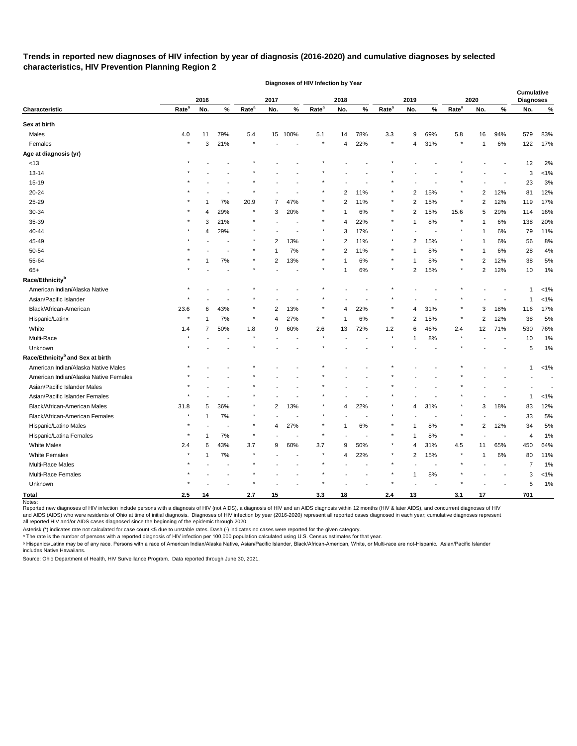# **Trends in reported new diagnoses of HIV infection by year of diagnosis (2016-2020) and cumulative diagnoses by selected characteristics, HIV Prevention Planning Region 2**

|                                              |                   | 2016<br>2017<br>2019<br>2018 |                | 2020              |                |                          | <b>Cumulative</b><br><b>Diagnoses</b> |     |        |                   |                |                       |                   |                |                |     |         |
|----------------------------------------------|-------------------|------------------------------|----------------|-------------------|----------------|--------------------------|---------------------------------------|-----|--------|-------------------|----------------|-----------------------|-------------------|----------------|----------------|-----|---------|
| Characteristic                               | Rate <sup>a</sup> | No.                          | $\%$           | Rate <sup>a</sup> | No.            | $\%$                     | Rate <sup>a</sup>                     | No. | $\%$   | Rate <sup>a</sup> | No.            | $\%$                  | Rate <sup>a</sup> | No.            | %              | No. | %       |
| Sex at birth                                 |                   |                              |                |                   |                |                          |                                       |     |        |                   |                |                       |                   |                |                |     |         |
| Males                                        | 4.0               | 11                           | 79%            | 5.4               | 15             | 100%                     | 5.1                                   | 14  | 78%    | 3.3               | 9              | 69%                   | 5.8               | 16             | 94%            | 579 | 83%     |
| Females                                      |                   | 3                            | 21%            |                   |                | $\overline{\phantom{a}}$ |                                       | 4   | 22%    |                   | 4              | 31%                   |                   | 1              | 6%             | 122 | 17%     |
| Age at diagnosis (yr)                        |                   |                              |                |                   |                |                          |                                       |     |        |                   |                |                       |                   |                |                |     |         |
| <13                                          |                   |                              |                |                   |                |                          |                                       |     |        |                   |                |                       |                   |                |                | 12  | 2%      |
| 13-14                                        |                   |                              |                |                   |                |                          |                                       |     |        |                   |                |                       |                   |                |                | 3   | $< 1\%$ |
| 15-19                                        |                   |                              |                |                   |                |                          |                                       |     |        |                   |                |                       |                   |                |                | 23  | 3%      |
| 20-24                                        |                   |                              |                |                   |                |                          |                                       | 2   | 11%    |                   | 2              | 15%                   |                   | 2              | 12%            | 81  | 12%     |
| 25-29                                        |                   |                              | 7%             | 20.9              | 7              | 47%                      |                                       | 2   | 11%    |                   | 2              | 15%                   |                   | 2              | 12%            | 119 | 17%     |
| 30-34                                        |                   | 4                            | 29%            | $\star$           | 3              | 20%                      |                                       | 1   | 6%     |                   | 2              | 15%                   | 15.6              | 5              | 29%            | 114 | 16%     |
| 35-39                                        |                   | 3                            | 21%            |                   |                |                          |                                       | 4   | 22%    |                   | 1              | 8%                    |                   |                | 6%             | 138 | 20%     |
| 40-44                                        |                   | 4                            | 29%            |                   |                |                          |                                       | 3   | 17%    |                   |                |                       |                   | 1              | 6%             | 79  | 11%     |
| 45-49                                        |                   |                              | $\blacksquare$ | $\ast$            | $\overline{2}$ | 13%                      |                                       | 2   | 11%    |                   | 2              | 15%                   |                   |                | 6%             | 56  | 8%      |
| 50-54                                        |                   |                              |                |                   |                | $7\%$                    |                                       | 2   | 11%    |                   | 1              | 8%                    |                   | 1              | 6%             | 28  | 4%      |
| 55-64                                        |                   |                              | 7%             |                   | 2              | 13%                      |                                       |     | 6%     |                   |                | 8%                    |                   | 2              | 12%            | 38  | 5%      |
| $65+$                                        |                   |                              |                |                   |                |                          |                                       |     | 6%     |                   | 2              | 15%                   |                   | 2              | 12%            | 10  | 1%      |
| Race/Ethnicity <sup>b</sup>                  |                   |                              |                |                   |                |                          |                                       |     |        |                   |                |                       |                   |                |                |     |         |
| American Indian/Alaska Native                |                   |                              |                |                   |                |                          |                                       |     |        |                   |                |                       |                   |                |                | -1  | $< 1\%$ |
| Asian/Pacific Islander                       |                   |                              |                |                   |                |                          |                                       |     |        |                   |                |                       |                   |                |                |     | $< 1\%$ |
| Black/African-American                       | 23.6              | 6                            | 43%            |                   | 2              | 13%                      |                                       | 4   | 22%    |                   | 4              | 31%                   |                   | 3              | 18%            | 116 | 17%     |
| Hispanic/Latinx                              |                   |                              | 7%             | $\star$           | 4              | 27%                      |                                       | 1   | 6%     |                   | 2              | 15%                   |                   | 2              | 12%            | 38  | 5%      |
| White                                        | 1.4               | 7                            | 50%            | 1.8               | 9              | 60%                      | 2.6                                   | 13  | 72%    | 1.2               | 6              | 46%                   | 2.4               | 12             | 71%            | 530 | 76%     |
| Multi-Race                                   |                   |                              |                |                   |                |                          |                                       |     |        |                   | 1              | 8%                    |                   |                |                | 10  | 1%      |
| Unknown                                      |                   |                              |                |                   |                |                          |                                       |     |        |                   |                |                       |                   |                |                | 5   | 1%      |
| Race/Ethnicity <sup>b</sup> and Sex at birth |                   |                              |                |                   |                |                          |                                       |     |        |                   |                |                       |                   |                |                |     |         |
| American Indian/Alaska Native Males          |                   |                              |                |                   |                |                          |                                       |     |        |                   |                |                       |                   |                |                | 1   | $< 1\%$ |
| American Indian/Alaska Native Females        |                   |                              |                |                   |                |                          |                                       |     |        |                   |                |                       |                   |                |                |     |         |
| Asian/Pacific Islander Males                 |                   |                              |                |                   |                |                          |                                       |     |        |                   |                |                       |                   |                |                |     |         |
| Asian/Pacific Islander Females               |                   |                              |                |                   |                |                          |                                       |     |        |                   |                |                       |                   |                |                | 1   | $< 1\%$ |
| Black/African-American Males                 | 31.8              | 5                            | 36%            |                   | 2              | 13%                      |                                       | 4   | 22%    |                   | 4              | 31%                   |                   | 3              | 18%            | 83  | 12%     |
| Black/African-American Females               | $\star$           | -1                           | 7%             |                   |                |                          |                                       |     |        |                   |                |                       |                   |                |                | 33  | 5%      |
| Hispanic/Latino Males                        |                   |                              |                | $\star$           | 4              | 27%                      |                                       | 1   | $6\%$  |                   | 1              | 8%                    |                   | $\overline{2}$ | 12%            | 34  | 5%      |
| Hispanic/Latina Females                      | $\star$           |                              | 7%             | $\star$           |                | $\sim$                   | $\star$                               |     | ÷.     |                   | $\mathbf 1$    | 8%                    | $\star$           |                | $\sim$         | 4   | 1%      |
| White Males                                  | 2.4               | 6                            | 43%            | $3.7\,$           | 9              | 60%                      | $3.7\,$                               | 9   | 50%    |                   | 4              | 31%                   | 4.5               | 11             | 65%            | 450 | 64%     |
| <b>White Females</b>                         | $\star$           |                              | $7\%$          | $\star$           |                |                          |                                       | 4   | 22%    |                   | $\overline{2}$ | 15%                   |                   | $\mathbf{1}$   | 6%             | 80  | 11%     |
| Multi-Race Males                             |                   |                              |                |                   |                |                          |                                       |     | $\sim$ |                   |                | $\tilde{\phantom{a}}$ |                   |                | $\blacksquare$ | 7   | 1%      |
| Multi-Race Females                           |                   |                              |                |                   |                |                          |                                       |     |        |                   | $\mathbf{1}$   | $8\%$                 |                   |                |                | 3   | $< 1\%$ |
| Unknown                                      |                   |                              |                |                   |                |                          |                                       |     |        |                   |                |                       |                   |                |                | 5   | 1%      |
| <b>Total</b>                                 | 2.5               | 14                           |                | $2.7\,$           | 15             |                          | 3.3                                   | 18  |        | 2.4               | 13             |                       | 3.1               | 17             |                | 701 |         |

**Diagnoses of HIV Infection by Year**

Reported new diagnoses of HIV infection include persons with a diagnosis of HIV (not AIDS), a diagnosis of HIV and an AIDS diagnosis within 12 months (HIV & later AIDS), and concurrent diagnoses of HIV and AIDS (AIDS) who were residents of Ohio at time of initial diagnosis. Diagnoses of HIV infection by year (2016-2020) represent all reported cases diagnosed in each year; cumulative diagnoses represent all reported HIV and/or AIDS cases diagnosed since the beginning of the epidemic through 2020.

Asterisk (\*) indicates rate not calculated for case count <5 due to unstable rates. Dash (-) indicates no cases were reported for the given category.

 $\,{}^{\rm a}$  The rate is the number of persons with a reported diagnosis of HIV infection per 100,000 population calculated using U.S. Census estimates for that year.

ᵇ Hispanics/Latinx may be of any race. Persons with a race of American Indian/Alaska Native, Asian/Pacific Islander, Black/African-American, White, or Multi-race are not-Hispanic. Asian/Pacific Islander includes Native Hawaiians.

Source: Ohio Department of Health, HIV Surveillance Program. Data reported through June 30, 2021.

Notes: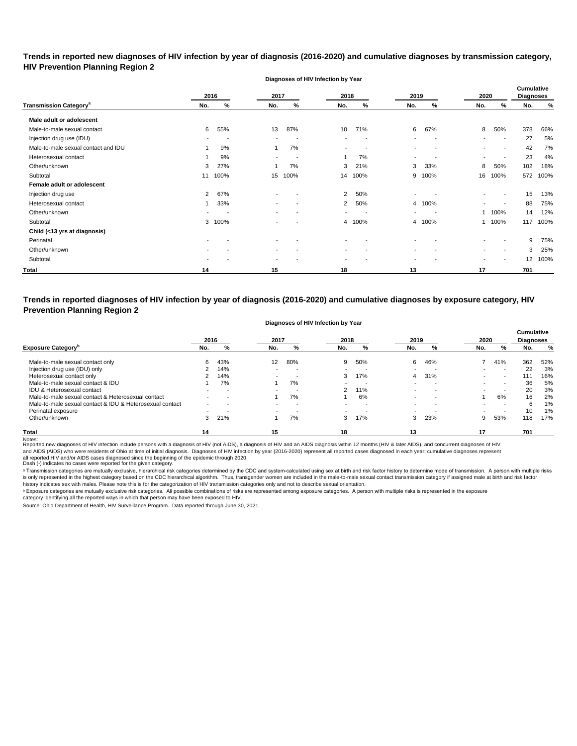**Trends in reported new diagnoses of HIV infection by year of diagnosis (2016-2020) and cumulative diagnoses by transmission category, HIV Prevention Planning Region 2**

**Diagnoses of HIV Infection by Year**

|                                          |                | 2016 | 2017                     |                          | 2018                     |                          | 2019                     |                          | 2020           |                          | <b>Cumulative</b><br><b>Diagnoses</b> |      |
|------------------------------------------|----------------|------|--------------------------|--------------------------|--------------------------|--------------------------|--------------------------|--------------------------|----------------|--------------------------|---------------------------------------|------|
| <b>Transmission Category<sup>a</sup></b> | No.            | %    | No.                      | %                        | No.                      | %                        | No.                      | %                        | No.            | %                        | No.                                   | %    |
| Male adult or adolescent                 |                |      |                          |                          |                          |                          |                          |                          |                |                          |                                       |      |
| Male-to-male sexual contact              | 6              | 55%  | 13                       | 87%                      | 10                       | 71%                      | 6                        | 67%                      | 8              | 50%                      | 378                                   | 66%  |
| Injection drug use (IDU)                 |                | -    | $\,$                     | <b>.</b>                 | $\overline{\phantom{a}}$ | $\overline{\phantom{a}}$ | $\overline{\phantom{a}}$ | $\overline{\phantom{a}}$ | $\blacksquare$ | $\overline{\phantom{a}}$ | 27                                    | 5%   |
| Male-to-male sexual contact and IDU      |                | 9%   |                          | 7%                       | $\blacksquare$           |                          | $\overline{\phantom{a}}$ | $\overline{\phantom{a}}$ | $\blacksquare$ | $\overline{\phantom{a}}$ | 42                                    | 7%   |
| Heterosexual contact                     |                | 9%   | $\,$                     | <b>.</b>                 |                          | 7%                       | $\overline{\phantom{a}}$ | $\overline{\phantom{a}}$ | $\blacksquare$ | $\overline{\phantom{a}}$ | 23                                    | 4%   |
| Other/unknown                            | 3              | 27%  |                          | 7%                       | 3                        | 21%                      | 3                        | 33%                      | 8              | 50%                      | 102                                   | 18%  |
| Subtotal                                 | 11             | 100% | 15                       | 100%                     | 14                       | 100%                     | 9                        | 100%                     | 16             | 100%                     | 572                                   | 100% |
| Female adult or adolescent               |                |      |                          |                          |                          |                          |                          |                          |                |                          |                                       |      |
| Injection drug use                       | $\overline{2}$ | 67%  |                          |                          | $\overline{2}$           | 50%                      |                          |                          | $\blacksquare$ |                          | 15                                    | 13%  |
| Heterosexual contact                     |                | 33%  | $\,$                     | $\overline{\phantom{a}}$ | $\overline{2}$           | 50%                      | $\overline{4}$           | 100%                     | $\blacksquare$ | $\overline{\phantom{a}}$ | 88                                    | 75%  |
| Other/unknown                            |                |      | $\,$                     | $\overline{\phantom{a}}$ | $\blacksquare$           |                          | $\,$                     | . .                      |                | 1 100%                   | 14                                    | 12%  |
| Subtotal                                 | 3              | 100% | $\sim$                   | $\overline{\phantom{a}}$ | 4                        | 100%                     | 4                        | 100%                     |                | 1 100%                   | 117                                   | 100% |
| Child (<13 yrs at diagnosis)             |                |      |                          |                          |                          |                          |                          |                          |                |                          |                                       |      |
| Perinatal                                |                |      |                          |                          | $\blacksquare$           |                          |                          |                          |                |                          | 9                                     | 75%  |
| Other/unknown                            |                |      |                          |                          | $\overline{\phantom{a}}$ |                          |                          |                          | $\blacksquare$ |                          | 3                                     | 25%  |
| Subtotal                                 |                |      | $\overline{\phantom{a}}$ |                          | $\overline{\phantom{0}}$ |                          |                          |                          |                | $\blacksquare$           | 12                                    | 100% |
| <b>Total</b>                             | 14             |      | 15                       |                          | 18                       |                          | 13                       |                          | 17             |                          | 701                                   |      |

**Trends in reported diagnoses of HIV infection by year of diagnosis (2016-2020) and cumulative diagnoses by exposure category, HIV Prevention Planning Region 2**

#### **Diagnoses of HIV Infection by Year**

|                                                          | 2016 |        | 2017                     |                          | 2018           |     | 2019 |     | 2020 |        | <b>Cumulative</b><br><b>Diagnoses</b> |     |
|----------------------------------------------------------|------|--------|--------------------------|--------------------------|----------------|-----|------|-----|------|--------|---------------------------------------|-----|
| <b>Exposure Category</b> <sup>p</sup>                    | No.  | %      | No.                      | %                        | No.            | %   | No.  | %   | No.  | %      | No.                                   | %   |
| Male-to-male sexual contact only                         |      | 43%    | 12                       | 80%                      | 9              | 50% | 6.   | 46% |      | 41%    | 362                                   | 52% |
| Injection drug use (IDU) only                            |      | 14%    | $\overline{\phantom{0}}$ |                          | $\blacksquare$ |     |      |     |      | $\sim$ | 22                                    | 3%  |
| Heterosexual contact only                                |      | 14%    | -                        | . .                      | 3              | 17% | 4    | 31% |      |        | 111                                   | 16% |
| Male-to-male sexual contact & IDU                        |      | 7%     |                          | 7%                       | $\blacksquare$ |     |      |     |      |        | 36                                    | 5%  |
| IDU & Heterosexual contact                               |      | $\sim$ | -                        | . .                      | 2              | 11% |      |     |      | -      | 20                                    | 3%  |
| Male-to-male sexual contact & Heterosexual contact       |      |        |                          | 7%                       |                | 6%  |      |     |      | 6%     | 16                                    | 2%  |
| Male-to-male sexual contact & IDU & Heterosexual contact |      |        |                          | $\overline{\phantom{a}}$ |                |     |      |     |      |        | 6                                     | 1%  |
| Perinatal exposure                                       |      |        | -                        | $\overline{\phantom{a}}$ | $\blacksquare$ | -   | -    |     |      |        | 10                                    | 1%  |
| Other/unknown                                            |      | 21%    |                          | 7%                       | 3              | 17% | 3    | 23% | 9    | 53%    | 118                                   | 17% |
| <b>Total</b>                                             | 14   |        | 15                       |                          | 18             |     | 13   |     | 17   |        | 701                                   |     |

Notes:<br>Reported new diagnoses of HIV infection include persons with a diagnosis of HIV (not AIDS), a diagnosis of HIV and an AIDS diagnosis within 12 months (HIV & later AIDS), and concurrent diagnoses of HIV and AIDS (AIDS) who were residents of Ohio at time of initial diagnosis. Diagnoses of HIV infection by year (2016-2020) represent all reported cases diagnosed in each year; cumulative diagnoses represent

all reported HIV and/or AIDS cases diagnosed since the beginning of the epidemic through 2020.<br>Dash (-) indicates no cases were reported for the given category.

a Transmission categories are mutually exclusive, hierarchical risk categories determined by the CDC and system-calculated using sex at birth and risk factor history to determine mode of transmission. A person with multipl is only represented in the highest category based on the CDC hierarchical algorithm. Thus, transgender women are included in the male-to-male sexual contact transmission category if assigned male at birth and risk factor history indicates sex with males. Please note this is for the categorization of HIV transmission categories only and not to describe sexual orientation.

 $^{\rm b}$  Exposure categories are mutually exclusive risk categories. All possible combinations of risks are represented among exposure categories. A person with multiple risks is represented in the exposure

category identifying all the reported ways in which that person may have been exposed to HIV.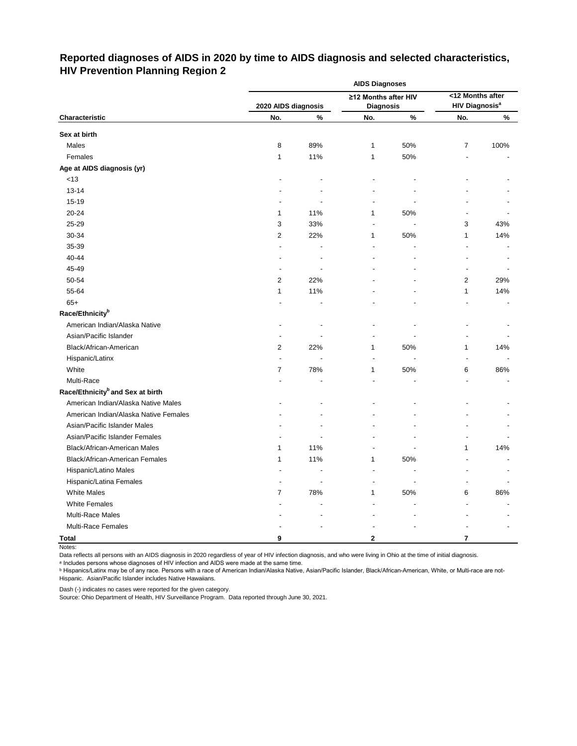# **Reported diagnoses of AIDS in 2020 by time to AIDS diagnosis and selected characteristics, HIV Prevention Planning Region 2**

|                                              | <b>AIDS Diagnoses</b> |      |                      |      |                                  |      |  |  |  |
|----------------------------------------------|-----------------------|------|----------------------|------|----------------------------------|------|--|--|--|
|                                              |                       |      | ≥12 Months after HIV |      | <12 Months after                 |      |  |  |  |
|                                              | 2020 AIDS diagnosis   |      | <b>Diagnosis</b>     |      | <b>HIV Diagnosis<sup>a</sup></b> |      |  |  |  |
| Characteristic                               | No.                   | $\%$ | No.                  | $\%$ | No.                              | $\%$ |  |  |  |
| Sex at birth                                 |                       |      |                      |      |                                  |      |  |  |  |
| Males                                        | 8                     | 89%  | 1                    | 50%  | $\overline{7}$                   | 100% |  |  |  |
| Females                                      | 1                     | 11%  | 1                    | 50%  | $\blacksquare$                   |      |  |  |  |
| Age at AIDS diagnosis (yr)                   |                       |      |                      |      |                                  |      |  |  |  |
| $<13$                                        |                       |      |                      |      |                                  |      |  |  |  |
| $13 - 14$                                    |                       |      |                      |      |                                  |      |  |  |  |
| 15-19                                        |                       |      |                      |      |                                  |      |  |  |  |
| 20-24                                        | 1                     | 11%  | 1                    | 50%  |                                  |      |  |  |  |
| 25-29                                        | 3                     | 33%  |                      |      | 3                                | 43%  |  |  |  |
| 30-34                                        | $\overline{2}$        | 22%  | 1                    | 50%  | 1                                | 14%  |  |  |  |
| 35-39                                        |                       |      |                      |      |                                  |      |  |  |  |
| 40-44                                        |                       |      |                      |      |                                  |      |  |  |  |
| 45-49                                        |                       |      |                      |      |                                  |      |  |  |  |
| 50-54                                        | 2                     | 22%  |                      |      | 2                                | 29%  |  |  |  |
| 55-64                                        | 1                     | 11%  |                      |      | 1                                | 14%  |  |  |  |
| $65+$                                        |                       |      |                      |      |                                  |      |  |  |  |
| Race/Ethnicity <sup>b</sup>                  |                       |      |                      |      |                                  |      |  |  |  |
| American Indian/Alaska Native                |                       |      |                      |      |                                  |      |  |  |  |
| Asian/Pacific Islander                       |                       |      |                      |      |                                  |      |  |  |  |
| Black/African-American                       | 2                     | 22%  | $\mathbf{1}$         | 50%  | 1                                | 14%  |  |  |  |
| Hispanic/Latinx                              | L,                    |      |                      |      | Ĭ.                               |      |  |  |  |
| White                                        | 7                     | 78%  | 1                    | 50%  | 6                                | 86%  |  |  |  |
| Multi-Race                                   |                       |      |                      |      |                                  |      |  |  |  |
| Race/Ethnicity <sup>b</sup> and Sex at birth |                       |      |                      |      |                                  |      |  |  |  |
| American Indian/Alaska Native Males          |                       |      |                      |      |                                  |      |  |  |  |
| American Indian/Alaska Native Females        |                       |      |                      |      |                                  |      |  |  |  |
| Asian/Pacific Islander Males                 |                       |      |                      |      |                                  |      |  |  |  |
| Asian/Pacific Islander Females               |                       |      |                      |      |                                  |      |  |  |  |
| Black/African-American Males                 | 1                     | 11%  |                      |      | 1                                | 14%  |  |  |  |
| Black/African-American Females               | 1                     | 11%  | 1                    | 50%  |                                  |      |  |  |  |
| Hispanic/Latino Males                        |                       |      |                      |      |                                  |      |  |  |  |
| Hispanic/Latina Females                      |                       |      |                      |      |                                  |      |  |  |  |
| <b>White Males</b>                           | 7                     | 78%  | 1                    | 50%  | 6                                | 86%  |  |  |  |
| <b>White Females</b>                         |                       |      |                      |      |                                  |      |  |  |  |
| Multi-Race Males                             |                       |      |                      |      |                                  |      |  |  |  |
| Multi-Race Females                           |                       |      |                      |      |                                  |      |  |  |  |
| <b>Total</b>                                 | 9                     |      | 2                    |      | 7                                |      |  |  |  |

Notes:

Data reflects all persons with an AIDS diagnosis in 2020 regardless of year of HIV infection diagnosis, and who were living in Ohio at the time of initial diagnosis.

ᵃ Includes persons whose diagnoses of HIV infection and AIDS were made at the same time.

<u>b Hispanics/Latinx may be of any race. Persons with a race of American Indian/Alaska Native, Asian/Pacific Islander, Black/African-American, White, or Multi-race are not-</u> Hispanic. Asian/Pacific Islander includes Native Hawaiians.

Dash (-) indicates no cases were reported for the given category.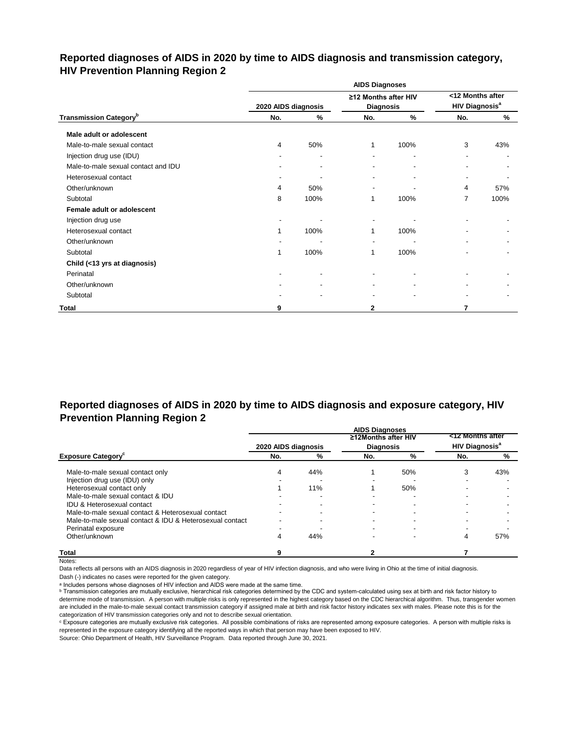# **Reported diagnoses of AIDS in 2020 by time to AIDS diagnosis and transmission category, HIV Prevention Planning Region 2**

|                                           |                     |                          | <b>AIDS Diagnoses</b>                    |      |                                                      |      |
|-------------------------------------------|---------------------|--------------------------|------------------------------------------|------|------------------------------------------------------|------|
|                                           | 2020 AIDS diagnosis |                          | ≥12 Months after HIV<br><b>Diagnosis</b> |      | <12 Months after<br><b>HIV Diagnosis<sup>a</sup></b> |      |
| <b>Transmission Category</b> <sup>b</sup> | No.                 | %                        | No.                                      | $\%$ | No.                                                  | %    |
| Male adult or adolescent                  |                     |                          |                                          |      |                                                      |      |
| Male-to-male sexual contact               | 4                   | 50%                      | 1                                        | 100% | 3                                                    | 43%  |
| Injection drug use (IDU)                  |                     | $\overline{\phantom{a}}$ | $\blacksquare$                           |      | ٠                                                    |      |
| Male-to-male sexual contact and IDU       |                     |                          |                                          |      |                                                      |      |
| Heterosexual contact                      |                     |                          |                                          |      |                                                      |      |
| Other/unknown                             | 4                   | 50%                      | -                                        |      | 4                                                    | 57%  |
| Subtotal                                  | 8                   | 100%                     | 1                                        | 100% | 7                                                    | 100% |
| Female adult or adolescent                |                     |                          |                                          |      |                                                      |      |
| Injection drug use                        |                     |                          |                                          |      |                                                      |      |
| Heterosexual contact                      | 1                   | 100%                     | 1                                        | 100% |                                                      |      |
| Other/unknown                             |                     |                          | ۰                                        |      |                                                      |      |
| Subtotal                                  | 1                   | 100%                     | 1                                        | 100% |                                                      |      |
| Child (<13 yrs at diagnosis)              |                     |                          |                                          |      |                                                      |      |
| Perinatal                                 |                     | ٠                        |                                          |      |                                                      |      |
| Other/unknown                             |                     |                          |                                          |      |                                                      |      |
| Subtotal                                  |                     |                          |                                          |      |                                                      |      |
| Total                                     | 9                   |                          | 2                                        |      | 7                                                    |      |

# **Reported diagnoses of AIDS in 2020 by time to AIDS diagnosis and exposure category, HIV Prevention Planning Region 2**

|                                                          |                     |     | <b>AIDS Diagnoses</b> |     |                                  |     |
|----------------------------------------------------------|---------------------|-----|-----------------------|-----|----------------------------------|-----|
|                                                          |                     |     | ≥12Months after HIV   |     | <12 Months after                 |     |
|                                                          | 2020 AIDS diagnosis |     | <b>Diagnosis</b>      |     | <b>HIV Diagnosis<sup>a</sup></b> |     |
| <b>Exposure Category</b>                                 | No.                 | %   | No.                   | %   | No.                              | %   |
| Male-to-male sexual contact only                         | 4                   | 44% |                       | 50% | 3                                | 43% |
| Injection drug use (IDU) only                            |                     |     |                       |     |                                  |     |
| Heterosexual contact only                                |                     | 11% |                       | 50% |                                  |     |
| Male-to-male sexual contact & IDU                        |                     |     |                       |     |                                  |     |
| <b>IDU &amp; Heterosexual contact</b>                    |                     |     |                       |     |                                  |     |
| Male-to-male sexual contact & Heterosexual contact       |                     |     |                       |     |                                  |     |
| Male-to-male sexual contact & IDU & Heterosexual contact |                     |     |                       |     |                                  |     |
| Perinatal exposure                                       |                     |     |                       |     |                                  |     |
| Other/unknown                                            |                     | 44% |                       |     | 4                                | 57% |
| <b>Total</b>                                             |                     |     |                       |     |                                  |     |

Notes:

Data reflects all persons with an AIDS diagnosis in 2020 regardless of year of HIV infection diagnosis, and who were living in Ohio at the time of initial diagnosis.

Dash (-) indicates no cases were reported for the given category.

a Includes persons whose diagnoses of HIV infection and AIDS were made at the same time.

**b** Transmission categories are mutually exclusive, hierarchical risk categories determined by the CDC and system-calculated using sex at birth and risk factor history to determine mode of transmission. A person with multiple risks is only represented in the highest category based on the CDC hierarchical algorithm. Thus, transgender women are included in the male-to-male sexual contact transmission category if assigned male at birth and risk factor history indicates sex with males. Please note this is for the categorization of HIV transmission categories only and not to describe sexual orientation.

ᶜ Exposure categories are mutually exclusive risk categories. All possible combinations of risks are represented among exposure categories. A person with multiple risks is represented in the exposure category identifying all the reported ways in which that person may have been exposed to HIV.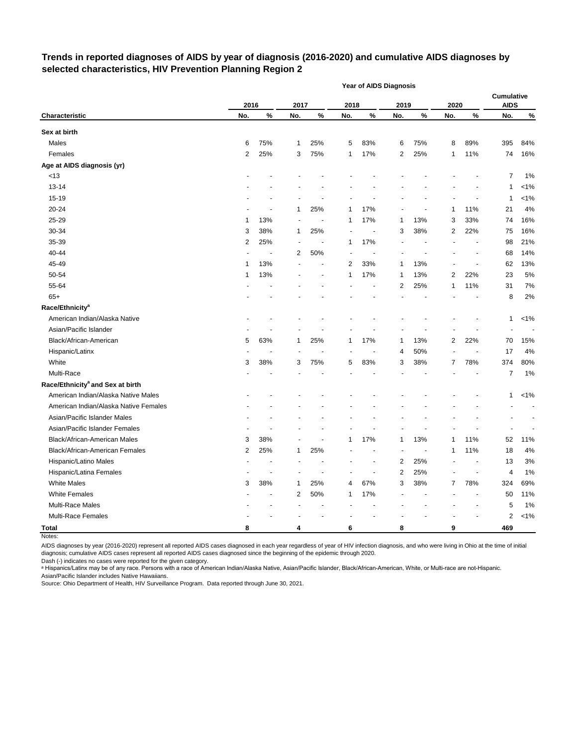# **Trends in reported diagnoses of AIDS by year of diagnosis (2016-2020) and cumulative AIDS diagnoses by selected characteristics, HIV Prevention Planning Region 2**

|                                              |                |                          |                |                          |      | <b>Year of AIDS Diagnosis</b> |                         |                          |      |                          |                                  |         |
|----------------------------------------------|----------------|--------------------------|----------------|--------------------------|------|-------------------------------|-------------------------|--------------------------|------|--------------------------|----------------------------------|---------|
|                                              | 2016           |                          | 2017           |                          | 2018 |                               | 2019                    |                          | 2020 |                          | <b>Cumulative</b><br><b>AIDS</b> |         |
| Characteristic                               | No.            | $\%$                     | No.            | $\%$                     | No.  | $\%$                          | No.                     | %                        | No.  | %                        | No.                              | $\%$    |
| Sex at birth                                 |                |                          |                |                          |      |                               |                         |                          |      |                          |                                  |         |
| Males                                        | 6              | 75%                      | 1              | 25%                      | 5    | 83%                           | 6                       | 75%                      | 8    | 89%                      | 395                              | 84%     |
| Females                                      | $\overline{c}$ | 25%                      | 3              | 75%                      | 1    | 17%                           | 2                       | 25%                      | 1    | 11%                      | 74                               | 16%     |
| Age at AIDS diagnosis (yr)                   |                |                          |                |                          |      |                               |                         |                          |      |                          |                                  |         |
| < 13                                         |                |                          |                |                          |      |                               |                         |                          |      |                          | 7                                | 1%      |
| $13 - 14$                                    |                |                          |                |                          |      |                               |                         |                          |      |                          | 1                                | $< 1\%$ |
| 15-19                                        |                |                          |                |                          |      |                               |                         |                          |      |                          | 1                                | $< 1\%$ |
| 20-24                                        |                |                          | 1              | 25%                      | 1    | 17%                           |                         |                          | 1    | 11%                      | 21                               | 4%      |
| 25-29                                        | 1              | 13%                      |                | ÷,                       | 1    | 17%                           | 1                       | 13%                      | 3    | 33%                      | 74                               | 16%     |
| 30-34                                        | 3              | 38%                      | 1              | 25%                      |      |                               | 3                       | 38%                      | 2    | 22%                      | 75                               | 16%     |
| 35-39                                        | 2              | 25%                      | $\blacksquare$ | $\sim$                   | 1    | 17%                           |                         |                          |      |                          | 98                               | 21%     |
| 40-44                                        |                | $\overline{\phantom{a}}$ | 2              | 50%                      |      |                               |                         |                          |      | $\overline{\phantom{a}}$ | 68                               | 14%     |
| 45-49                                        | 1              | 13%                      |                | $\overline{\phantom{a}}$ | 2    | 33%                           | 1                       | 13%                      |      |                          | 62                               | 13%     |
| 50-54                                        | 1              | 13%                      |                |                          | 1    | 17%                           | 1                       | 13%                      | 2    | 22%                      | 23                               | 5%      |
| 55-64                                        |                |                          |                |                          |      |                               | 2                       | 25%                      | 1    | 11%                      | 31                               | 7%      |
| $65+$                                        |                |                          |                |                          |      |                               |                         |                          |      |                          | 8                                | 2%      |
| Race/Ethnicity <sup>a</sup>                  |                |                          |                |                          |      |                               |                         |                          |      |                          |                                  |         |
| American Indian/Alaska Native                |                |                          |                |                          |      |                               |                         |                          |      |                          | 1                                | $< 1\%$ |
| Asian/Pacific Islander                       |                |                          |                |                          |      |                               |                         |                          |      |                          |                                  |         |
| Black/African-American                       | 5              | 63%                      | 1              | 25%                      | 1    | 17%                           | 1                       | 13%                      | 2    | 22%                      | 70                               | 15%     |
| Hispanic/Latinx                              |                |                          |                |                          |      |                               | 4                       | 50%                      |      |                          | 17                               | 4%      |
| White                                        | 3              | 38%                      | 3              | 75%                      | 5    | 83%                           | 3                       | 38%                      | 7    | 78%                      | 374                              | 80%     |
| Multi-Race                                   |                |                          |                |                          |      |                               |                         |                          |      |                          | 7                                | 1%      |
| Race/Ethnicity <sup>a</sup> and Sex at birth |                |                          |                |                          |      |                               |                         |                          |      |                          |                                  |         |
| American Indian/Alaska Native Males          |                |                          |                |                          |      |                               |                         |                          |      |                          | 1                                | $< 1\%$ |
| American Indian/Alaska Native Females        |                |                          |                |                          |      |                               |                         |                          |      |                          |                                  |         |
| Asian/Pacific Islander Males                 |                |                          |                |                          |      |                               |                         |                          |      |                          |                                  |         |
| Asian/Pacific Islander Females               |                |                          |                |                          |      |                               |                         |                          |      |                          | $\overline{\phantom{a}}$         |         |
| Black/African-American Males                 | 3              | 38%                      |                |                          | 1    | 17%                           | 1                       | 13%                      | 1    | 11%                      | 52                               | 11%     |
| Black/African-American Females               | 2              | 25%                      | 1              | 25%                      |      |                               |                         | $\overline{\phantom{a}}$ | 1    | 11%                      | 18                               | 4%      |
| Hispanic/Latino Males                        |                |                          |                |                          |      |                               | 2                       | 25%                      |      |                          | 13                               | 3%      |
| Hispanic/Latina Females                      |                |                          |                |                          |      |                               | $\overline{\mathbf{c}}$ | 25%                      |      |                          | 4                                | 1%      |
| <b>White Males</b>                           | 3              | 38%                      | 1              | 25%                      | 4    | 67%                           | 3                       | 38%                      | 7    | 78%                      | 324                              | 69%     |
| <b>White Females</b>                         |                |                          | 2              | 50%                      | 1    | 17%                           |                         |                          |      |                          | 50                               | 11%     |
| Multi-Race Males                             |                |                          |                |                          |      |                               |                         |                          |      |                          | 5                                | 1%      |
| Multi-Race Females                           |                |                          |                |                          |      |                               |                         |                          |      |                          | 2                                | $< 1\%$ |
| <b>Total</b>                                 | 8              |                          | 4              |                          | 6    |                               | 8                       |                          | 9    |                          | 469                              |         |

Notes:

AIDS diagnoses by year (2016-2020) represent all reported AIDS cases diagnosed in each year regardless of year of HIV infection diagnosis, and who were living in Ohio at the time of initial diagnosis; cumulative AIDS cases represent all reported AIDS cases diagnosed since the beginning of the epidemic through 2020.

Dash (-) indicates no cases were reported for the given category.

a Hispanics/Latinx may be of any race. Persons with a race of American Indian/Alaska Native, Asian/Pacific Islander, Black/African-American, White, or Multi-race are not-Hispanic. Asian/Pacific Islander includes Native Hawaiians.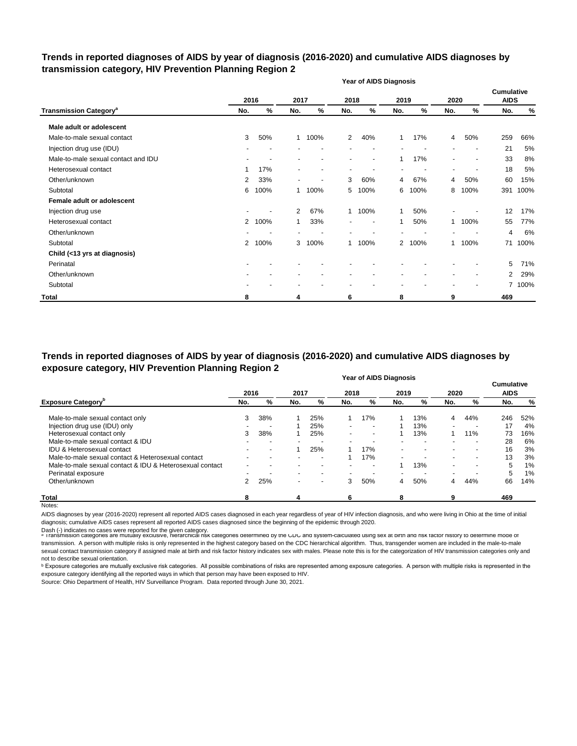## **Trends in reported diagnoses of AIDS by year of diagnosis (2016-2020) and cumulative AIDS diagnoses by transmission category, HIV Prevention Planning Region 2**

|                                          |                |      |                          |                |                | <b>Year of AIDS Diagnosis</b> |      |        |                          |                          |                                  |        |
|------------------------------------------|----------------|------|--------------------------|----------------|----------------|-------------------------------|------|--------|--------------------------|--------------------------|----------------------------------|--------|
|                                          |                | 2016 | 2017                     |                | 2018           |                               | 2019 |        | 2020                     |                          | <b>Cumulative</b><br><b>AIDS</b> |        |
| <b>Transmission Category<sup>a</sup></b> | No.            | %    | No.                      | %              | No.            | %                             | No.  | %      | No.                      | %                        | No.                              | %      |
| Male adult or adolescent                 |                |      |                          |                |                |                               |      |        |                          |                          |                                  |        |
| Male-to-male sexual contact              | 3              | 50%  | $\mathbf{1}$             | 100%           | $\overline{2}$ | 40%                           | 1    | 17%    | 4                        | 50%                      | 259                              | 66%    |
| Injection drug use (IDU)                 |                |      |                          | ٠              |                |                               |      |        |                          | $\overline{\phantom{a}}$ | 21                               | 5%     |
| Male-to-male sexual contact and IDU      |                |      |                          | $\blacksquare$ |                | $\overline{\phantom{a}}$      |      | 17%    | $\overline{\phantom{a}}$ |                          | 33                               | 8%     |
| Heterosexual contact                     | 1              | 17%  |                          | Ĭ.             |                |                               |      |        |                          |                          | 18                               | 5%     |
| Other/unknown                            | 2              | 33%  | $\overline{\phantom{a}}$ | $\blacksquare$ | 3              | 60%                           | 4    | 67%    | 4                        | 50%                      | 60                               | 15%    |
| Subtotal                                 | 6              | 100% | 1.                       | 100%           | 5              | 100%                          | 6    | 100%   | 8                        | 100%                     | 391                              | 100%   |
| Female adult or adolescent               |                |      |                          |                |                |                               |      |        |                          |                          |                                  |        |
| Injection drug use                       |                |      | $\overline{2}$           | 67%            |                | 1 100%                        |      | 50%    |                          |                          | 12                               | 17%    |
| Heterosexual contact                     | $\overline{2}$ | 100% | 1                        | 33%            | ٠              | $\overline{\phantom{a}}$      | 1    | 50%    | 1.                       | 100%                     | 55                               | 77%    |
| Other/unknown                            |                |      |                          |                |                |                               |      |        |                          |                          | 4                                | 6%     |
| Subtotal                                 | 2              | 100% | 3                        | 100%           |                | 1 100%                        |      | 2 100% | 1                        | 100%                     | 71                               | 100%   |
| Child (<13 yrs at diagnosis)             |                |      |                          |                |                |                               |      |        |                          |                          |                                  |        |
| Perinatal                                |                |      |                          |                |                |                               |      |        |                          |                          | 5                                | 71%    |
| Other/unknown                            |                |      |                          |                |                |                               |      |        |                          |                          | $\overline{2}$                   | 29%    |
| Subtotal                                 |                |      |                          |                |                |                               |      |        |                          |                          |                                  | 7 100% |
| <b>Total</b>                             | 8              |      | 4                        |                | 6              |                               | 8    |        | 9                        |                          | 469                              |        |

**Year of AIDS Diagnosis Trends in reported diagnoses of AIDS by year of diagnosis (2016-2020) and cumulative AIDS diagnoses by exposure category, HIV Prevention Planning Region 2**

|                                                          |               |     |      |                          |        | i cai vi Albo biayilosis |                          |                          |                          |      | <b>Cumulative</b> |               |
|----------------------------------------------------------|---------------|-----|------|--------------------------|--------|--------------------------|--------------------------|--------------------------|--------------------------|------|-------------------|---------------|
|                                                          | 2016          |     | 2017 |                          | 2018   |                          | 2019                     |                          | 2020                     |      | <b>AIDS</b>       |               |
| <b>Exposure Category</b> <sup>b</sup>                    | No.           | %   | No.  | %                        | No.    | %                        | No.                      | %                        | No.                      | %    | No.               | $\frac{9}{6}$ |
| Male-to-male sexual contact only                         | 3             | 38% |      | 25%                      |        | 17%                      |                          | 13%                      | 4                        | 44%  | 246               | 52%           |
| Injection drug use (IDU) only                            |               |     |      | 25%                      | $\sim$ | $\sim$                   |                          | 13%                      | $\blacksquare$           |      | 17                | 4%            |
| Heterosexual contact only                                | 3             | 38% |      | 25%                      |        | $\sim$                   |                          | 13%                      |                          | 11%  | 73                | 16%           |
| Male-to-male sexual contact & IDU                        |               |     |      | $\overline{\phantom{0}}$ |        | $\overline{\phantom{a}}$ |                          | $\overline{\phantom{0}}$ | ۰.                       | -    | 28                | 6%            |
| IDU & Heterosexual contact                               |               |     |      | 25%                      |        | 17%                      | $\overline{\phantom{0}}$ | ۰                        | ۰.                       |      | 16                | 3%            |
| Male-to-male sexual contact & Heterosexual contact       |               |     |      | $\,$                     |        | 17%                      | $\overline{\phantom{a}}$ | . .                      | $\sim$                   | $\,$ | 13                | 3%            |
| Male-to-male sexual contact & IDU & Heterosexual contact |               |     |      | -                        |        | $\overline{\phantom{a}}$ |                          | 13%                      | $\blacksquare$           | $\,$ | 5                 | $1\%$         |
| Perinatal exposure                                       |               |     |      | -                        |        |                          | $\overline{\phantom{0}}$ |                          | $\overline{\phantom{a}}$ |      | 5                 | $1\%$         |
| Other/unknown                                            | $\mathcal{P}$ | 25% |      | $\,$                     | 3      | 50%                      | 4                        | 50%                      | 4                        | 44%  | 66                | 14%           |
| <b>Total</b>                                             | 8             |     | 4    |                          | 6      |                          | 8                        |                          | 9                        |      | 469               |               |

Notes:

AIDS diagnoses by year (2016-2020) represent all reported AIDS cases diagnosed in each year regardless of year of HIV infection diagnosis, and who were living in Ohio at the time of initial diagnosis; cumulative AIDS cases represent all reported AIDS cases diagnosed since the beginning of the epidemic through 2020.

Dash (-) indicates no cases were reported for the given category.<br>◎ Transmission categories are mutually exclusive, nierarcnical risk categories determined by the CDC and system-calculated using sex at birth and risk ract transmission. A person with multiple risks is only represented in the highest category based on the CDC hierarchical algorithm. Thus, transgender women are included in the male-to-male sexual contact transmission category if assigned male at birth and risk factor history indicates sex with males. Please note this is for the categorization of HIV transmission categories only and not to describe sexual orientation.

**b** Exposure categories are mutually exclusive risk categories. All possible combinations of risks are represented among exposure categories. A person with multiple risks is represented in the exposure category identifying all the reported ways in which that person may have been exposed to HIV.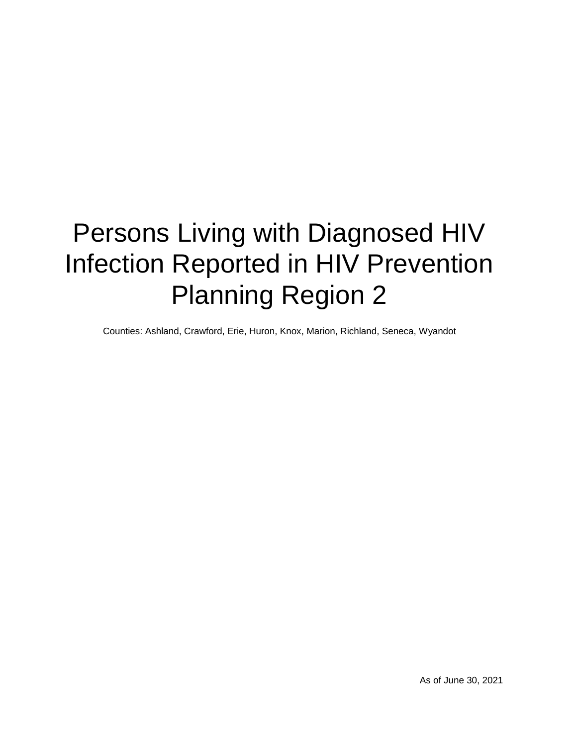# Persons Living with Diagnosed HIV Infection Reported in HIV Prevention Planning Region 2

Counties: Ashland, Crawford, Erie, Huron, Knox, Marion, Richland, Seneca, Wyandot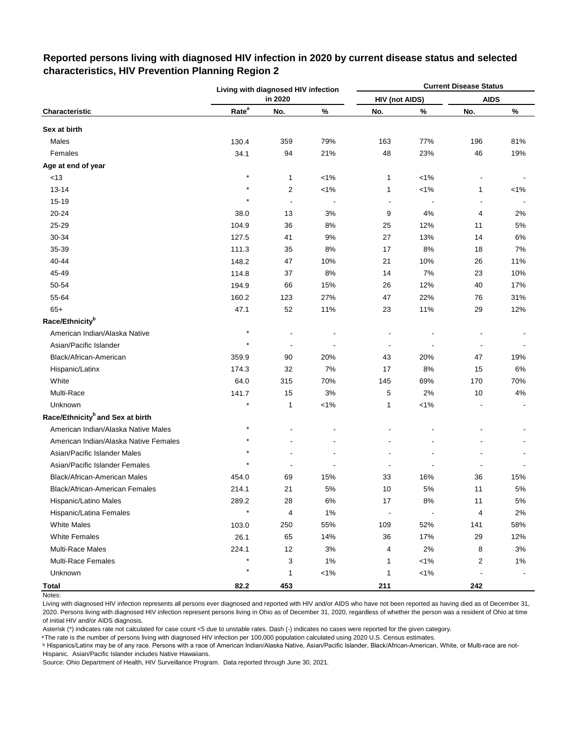|                                              |                   | Living with diagnosed HIV infection |         |                       |                | <b>Current Disease Status</b> |         |
|----------------------------------------------|-------------------|-------------------------------------|---------|-----------------------|----------------|-------------------------------|---------|
|                                              |                   | in 2020                             |         | <b>HIV (not AIDS)</b> |                | <b>AIDS</b>                   |         |
| Characteristic                               | Rate <sup>a</sup> | No.                                 | $\%$    | No.                   | $\%$           | No.                           | $\%$    |
| Sex at birth                                 |                   |                                     |         |                       |                |                               |         |
| Males                                        | 130.4             | 359                                 | 79%     | 163                   | 77%            | 196                           | 81%     |
| Females                                      | 34.1              | 94                                  | 21%     | 48                    | 23%            | 46                            | 19%     |
| Age at end of year                           |                   |                                     |         |                       |                |                               |         |
| <13                                          | $\star$           | 1                                   | $< 1\%$ | 1                     | $< 1\%$        |                               |         |
| $13 - 14$                                    | $\star$           | 2                                   | $< 1\%$ | 1                     | $< 1\%$        | 1                             | $< 1\%$ |
| 15-19                                        | $\star$           | $\overline{a}$                      |         | $\blacksquare$        |                | $\blacksquare$                |         |
| 20-24                                        | 38.0              | 13                                  | 3%      | 9                     | 4%             | 4                             | 2%      |
| 25-29                                        | 104.9             | 36                                  | 8%      | 25                    | 12%            | 11                            | 5%      |
| 30-34                                        | 127.5             | 41                                  | 9%      | 27                    | 13%            | 14                            | 6%      |
| 35-39                                        | 111.3             | 35                                  | 8%      | 17                    | 8%             | 18                            | 7%      |
| 40-44                                        | 148.2             | 47                                  | 10%     | 21                    | 10%            | 26                            | 11%     |
| 45-49                                        | 114.8             | 37                                  | $8%$    | 14                    | 7%             | 23                            | 10%     |
| 50-54                                        | 194.9             | 66                                  | 15%     | 26                    | 12%            | 40                            | 17%     |
| 55-64                                        | 160.2             | 123                                 | 27%     | 47                    | 22%            | 76                            | 31%     |
| $65+$                                        | 47.1              | 52                                  | 11%     | 23                    | 11%            | 29                            | 12%     |
| Race/Ethnicity <sup>b</sup>                  |                   |                                     |         |                       |                |                               |         |
| American Indian/Alaska Native                |                   |                                     |         |                       |                |                               |         |
| Asian/Pacific Islander                       |                   | $\overline{a}$                      |         |                       |                |                               |         |
| Black/African-American                       | 359.9             | 90                                  | 20%     | 43                    | 20%            | 47                            | 19%     |
| Hispanic/Latinx                              | 174.3             | 32                                  | 7%      | 17                    | 8%             | 15                            | 6%      |
| White                                        | 64.0              | 315                                 | 70%     | 145                   | 69%            | 170                           | 70%     |
| Multi-Race                                   | 141.7             | 15                                  | 3%      | 5                     | 2%             | 10                            | 4%      |
| Unknown                                      | $\star$           | 1                                   | $< 1\%$ | 1                     | $< 1\%$        |                               |         |
| Race/Ethnicity <sup>b</sup> and Sex at birth |                   |                                     |         |                       |                |                               |         |
| American Indian/Alaska Native Males          | $\star$           |                                     |         |                       |                |                               |         |
| American Indian/Alaska Native Females        |                   |                                     |         |                       |                |                               |         |
| Asian/Pacific Islander Males                 |                   |                                     |         |                       |                |                               |         |
| Asian/Pacific Islander Females               | $\star$           |                                     |         |                       |                |                               |         |
| Black/African-American Males                 | 454.0             | 69                                  | 15%     | 33                    | 16%            | 36                            | 15%     |
| Black/African-American Females               | 214.1             | 21                                  | 5%      | 10                    | 5%             | 11                            | 5%      |
| Hispanic/Latino Males                        | 289.2             | 28                                  | $6\%$   | $17$                  | $8%$           | 11                            | $5\%$   |
| Hispanic/Latina Females                      | $\star$           | 4                                   | 1%      | $\blacksquare$        | $\blacksquare$ | $\overline{\mathbf{4}}$       | 2%      |
| <b>White Males</b>                           | 103.0             | 250                                 | 55%     | 109                   | 52%            | 141                           | 58%     |
| <b>White Females</b>                         | 26.1              | 65                                  | 14%     | 36                    | 17%            | 29                            | 12%     |
| <b>Multi-Race Males</b>                      | 224.1             | 12                                  | 3%      | 4                     | 2%             | 8                             | 3%      |
| Multi-Race Females                           | $\star$           | 3                                   | $1\%$   | 1                     | $< 1\%$        | 2                             | 1%      |
| Unknown                                      |                   | 1                                   | $1\%$   | 1                     | $< 1\%$        |                               |         |
| <b>Total</b>                                 | 82.2              | 453                                 |         | 211                   |                | 242                           |         |

# **Reported persons living with diagnosed HIV infection in 2020 by current disease status and selected characteristics, HIV Prevention Planning Region 2**

Living with diagnosed HIV infection represents all persons ever diagnosed and reported with HIV and/or AIDS who have not been reported as having died as of December 31, 2020. Persons living with diagnosed HIV infection represent persons living in Ohio as of December 31, 2020, regardless of whether the person was a resident of Ohio at time of initial HIV and/or AIDS diagnosis.

Asterisk (\*) indicates rate not calculated for case count <5 due to unstable rates. Dash (-) indicates no cases were reported for the given category.

a The rate is the number of persons living with diagnosed HIV infection per 100,000 population calculated using 2020 U.S. Census estimates.

ᵇ Hispanics/Latinx may be of any race. Persons with a race of American Indian/Alaska Native, Asian/Pacific Islander, Black/African-American, White, or Multi-race are not-Hispanic. Asian/Pacific Islander includes Native Hawaiians.

Notes: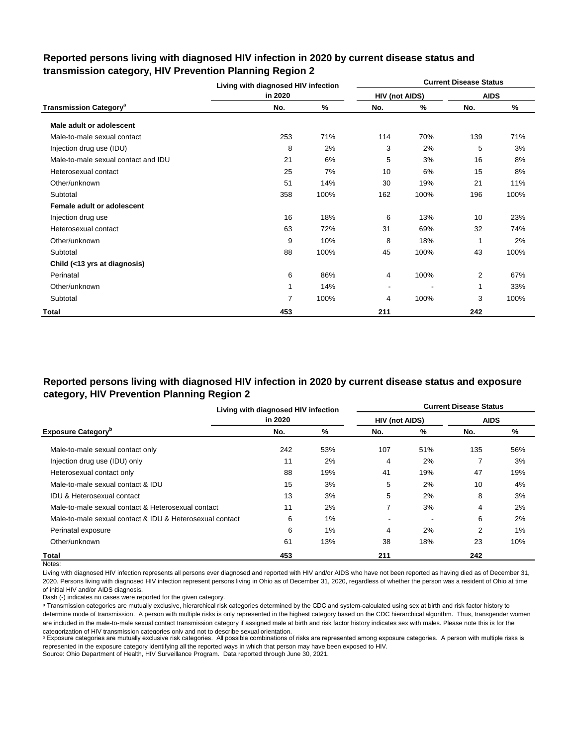|                                          | Living with diagnosed HIV infection |      |                |      | <b>Current Disease Status</b> |      |
|------------------------------------------|-------------------------------------|------|----------------|------|-------------------------------|------|
|                                          | in 2020                             |      | HIV (not AIDS) |      | <b>AIDS</b>                   |      |
| <b>Transmission Category<sup>a</sup></b> | No.                                 | ℅    | No.            | %    | No.                           | %    |
| Male adult or adolescent                 |                                     |      |                |      |                               |      |
| Male-to-male sexual contact              | 253                                 | 71%  | 114            | 70%  | 139                           | 71%  |
| Injection drug use (IDU)                 | 8                                   | 2%   | 3              | 2%   | 5                             | 3%   |
| Male-to-male sexual contact and IDU      | 21                                  | 6%   | 5              | 3%   | 16                            | 8%   |
| Heterosexual contact                     | 25                                  | 7%   | 10             | 6%   | 15                            | 8%   |
| Other/unknown                            | 51                                  | 14%  | 30             | 19%  | 21                            | 11%  |
| Subtotal                                 | 358                                 | 100% | 162            | 100% | 196                           | 100% |
| Female adult or adolescent               |                                     |      |                |      |                               |      |
| Injection drug use                       | 16                                  | 18%  | 6              | 13%  | 10                            | 23%  |
| Heterosexual contact                     | 63                                  | 72%  | 31             | 69%  | 32                            | 74%  |
| Other/unknown                            | 9                                   | 10%  | 8              | 18%  | 1                             | 2%   |
| Subtotal                                 | 88                                  | 100% | 45             | 100% | 43                            | 100% |
| Child (<13 yrs at diagnosis)             |                                     |      |                |      |                               |      |
| Perinatal                                | 6                                   | 86%  | 4              | 100% | 2                             | 67%  |
| Other/unknown                            | 1                                   | 14%  | $\blacksquare$ |      | 1                             | 33%  |
| Subtotal                                 | 7                                   | 100% | 4              | 100% | 3                             | 100% |
| Total                                    | 453                                 |      | 211            |      | 242                           |      |

## **Reported persons living with diagnosed HIV infection in 2020 by current disease status and transmission category, HIV Prevention Planning Region 2**

# **Reported persons living with diagnosed HIV infection in 2020 by current disease status and exposure category, HIV Prevention Planning Region 2**

|                                                          | Living with diagnosed HIV infection |       |                       |     | <b>Current Disease Status</b> |       |
|----------------------------------------------------------|-------------------------------------|-------|-----------------------|-----|-------------------------------|-------|
|                                                          | in 2020                             |       | <b>HIV (not AIDS)</b> |     | <b>AIDS</b>                   |       |
| <b>Exposure Category</b> <sup>b</sup>                    | No.                                 | %     | No.                   | %   | No.                           | %     |
| Male-to-male sexual contact only                         | 242                                 | 53%   | 107                   | 51% | 135                           | 56%   |
| Injection drug use (IDU) only                            | 11                                  | 2%    | 4                     | 2%  |                               | 3%    |
| Heterosexual contact only                                | 88                                  | 19%   | 41                    | 19% | 47                            | 19%   |
| Male-to-male sexual contact & IDU                        | 15                                  | 3%    | 5                     | 2%  | 10                            | 4%    |
| <b>IDU &amp; Heterosexual contact</b>                    | 13                                  | 3%    | 5                     | 2%  | 8                             | 3%    |
| Male-to-male sexual contact & Heterosexual contact       | 11                                  | 2%    | 7                     | 3%  | 4                             | 2%    |
| Male-to-male sexual contact & IDU & Heterosexual contact | 6                                   | $1\%$ |                       |     | 6                             | 2%    |
| Perinatal exposure                                       | 6                                   | 1%    | 4                     | 2%  | $\overline{2}$                | $1\%$ |
| Other/unknown                                            | 61                                  | 13%   | 38                    | 18% | 23                            | 10%   |
| Total                                                    | 453                                 |       | 211                   |     | 242                           |       |

Notes:

Living with diagnosed HIV infection represents all persons ever diagnosed and reported with HIV and/or AIDS who have not been reported as having died as of December 31, 2020. Persons living with diagnosed HIV infection represent persons living in Ohio as of December 31, 2020, regardless of whether the person was a resident of Ohio at time of initial HIV and/or AIDS diagnosis.

Dash (-) indicates no cases were reported for the given category.

a Transmission categories are mutually exclusive, hierarchical risk categories determined by the CDC and system-calculated using sex at birth and risk factor history to determine mode of transmission. A person with multiple risks is only represented in the highest category based on the CDC hierarchical algorithm. Thus, transgender women are included in the male-to-male sexual contact transmission category if assigned male at birth and risk factor history indicates sex with males. Please note this is for the categorization of HIV transmission categories only and not to describe sexual orientation.

**b** Exposure categories are mutually exclusive risk categories. All possible combinations of risks are represented among exposure categories. A person with multiple risks is represented in the exposure category identifying all the reported ways in which that person may have been exposed to HIV.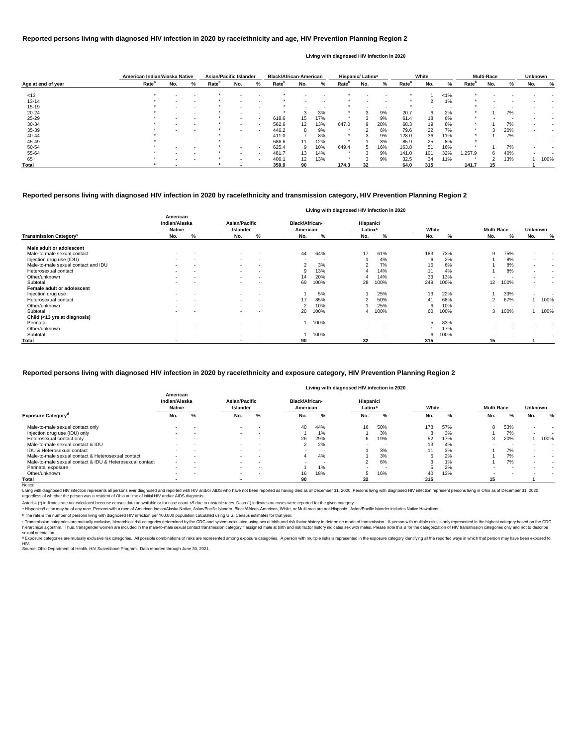|                    | American Indian/Alaska Native |                          |   | <b>Asian/Pacific Islander</b> |        |           | <b>Black/African-American</b> |     |                          |                   | Hispanic/ Latinx <sup>a</sup> |                          |                   | White  |       |                   | <b>Multi-Race</b> |     | <b>Unknown</b> |      |
|--------------------|-------------------------------|--------------------------|---|-------------------------------|--------|-----------|-------------------------------|-----|--------------------------|-------------------|-------------------------------|--------------------------|-------------------|--------|-------|-------------------|-------------------|-----|----------------|------|
| Age at end of year | Rate <sup>b</sup>             | No.                      | % | Rate <sup>p</sup>             | No.    | %         | <b>Rate</b> <sup>p</sup>      | No. | %                        | Rate <sup>r</sup> | No.                           | %                        | Rate <sup>n</sup> | No.    | %     | Rate <sup>'</sup> | No.               | %   | No.            | %    |
| < 13               |                               |                          |   |                               |        | $\sim$    |                               |     | $\overline{\phantom{a}}$ |                   |                               |                          |                   |        | $1\%$ |                   |                   |     |                |      |
| $13 - 14$          |                               |                          |   |                               |        |           |                               |     | $\overline{\phantom{0}}$ |                   |                               |                          |                   | ◠      | 1%    |                   |                   |     |                |      |
| $15 - 19$          |                               | $\overline{\phantom{a}}$ |   |                               |        | $\,$ $\,$ |                               |     | $\overline{\phantom{a}}$ |                   |                               | $\overline{\phantom{a}}$ |                   | $\sim$ |       |                   |                   |     |                |      |
| $20 - 24$          |                               |                          |   |                               |        |           |                               |     | 3%                       |                   |                               | 9%                       | 20.7              | 6      | 2%    |                   |                   | 7%  |                |      |
| $25 - 29$          |                               | $\overline{\phantom{0}}$ |   |                               | $\sim$ | $\sim$    | 618.6                         | 15  | 17%                      |                   |                               | 9%                       | 61.4              | 18     | 6%    |                   |                   |     |                |      |
| 30-34              |                               |                          |   |                               |        | $\sim$    | 562.6                         | 12  | 13%                      | 647.0             | 9                             | 28%                      | 68.3              | 19     | 6%    |                   |                   | 7%  |                |      |
| 35-39              |                               |                          |   |                               | $\sim$ | $\sim$    | 446.2                         | 8   | 9%                       |                   |                               | 6%                       | 79.6              | 22     | 7%    | $\ast$            |                   | 20% |                |      |
| 40-44              |                               |                          |   |                               |        | $\sim$    | 411.0                         |     | 8%                       |                   |                               | 9%                       | 128.0             | 36     | 11%   |                   |                   | 7%  |                |      |
| 45-49              |                               |                          |   |                               |        | $\sim$    | 686.6                         | 11  | 12%                      |                   |                               | 3%                       | 85.9              | 25     | 8%    | $\star$           |                   |     |                |      |
| 50-54              |                               |                          |   |                               |        | $\sim$    | 625.4                         | 9   | 10%                      | 649.4             | $5^{\circ}$                   | 16%                      | 163.8             | 51     | 16%   |                   |                   | 7%  |                |      |
| 55-64              |                               |                          |   |                               |        | $\sim$    | 481.7                         | 13  | 14%                      |                   |                               | 9%                       | 141.0             | 101    | 32%   | .257.9            | 6.                | 40% |                |      |
| $65+$              |                               |                          |   |                               |        | $\sim$    | 406.1                         | 12  | 13%                      |                   |                               | 9%                       | 32.5              | 34     | 11%   |                   |                   | 13% |                | 100% |
| Total              |                               |                          |   |                               |        |           | 359.9                         | 90  |                          | 174.3             | 32                            |                          | 64.0              | 315    |       | 141.7             |                   |     |                |      |

<sup>c</sup> Transmission categories are mutually exclusive, hierarchical risk categories determined by the CDC and system-calculated using sex at birth and risk factor history to determine mode of transmission. A person with multi hierarchical algorithm. Thus, transgender women are included in the male-to-male sexual contact transmission category if assigned male at birth and risk factor history indicates sex with males. Please note this is for the sexual orientation.

<sup>d</sup> Exposure categories are mutually exclusive risk categories. All possible combinations of risks are represented among exposure categories. A person with multiple risks is represented in the exposure category identifying

|                                          |                                     |                          |                                         |                          |                                   |                          |                                  | Living with diagnosed invilleduon in 2020 |       |      |                   |                          |                |                          |
|------------------------------------------|-------------------------------------|--------------------------|-----------------------------------------|--------------------------|-----------------------------------|--------------------------|----------------------------------|-------------------------------------------|-------|------|-------------------|--------------------------|----------------|--------------------------|
|                                          | American<br>Indian/Alaska<br>Native |                          | <b>Asian/Pacific</b><br><b>Islander</b> |                          | <b>Black/African-</b><br>American |                          | Hispanic/<br>Latinx <sup>a</sup> |                                           | White |      | <b>Multi-Race</b> |                          | Unknown        |                          |
| <b>Transmission Category<sup>c</sup></b> | No.                                 | %                        | No.                                     | %                        | No.                               | %                        | No.                              | %                                         | No.   | %    | No.               | %                        | No.            | %                        |
| Male adult or adolescent                 |                                     |                          |                                         |                          |                                   |                          |                                  |                                           |       |      |                   |                          |                |                          |
| Male-to-male sexual contact              |                                     |                          | $\sim$                                  | $\overline{\phantom{a}}$ | 44                                | 64%                      | 17                               | 61%                                       | 183   | 73%  | 9                 | 75%                      |                |                          |
| Injection drug use (IDU)                 | $\sim$                              | $\overline{\phantom{a}}$ | $\sim$                                  | $\sim$                   | $\overline{\phantom{a}}$          | $\overline{\phantom{a}}$ |                                  | 4%                                        | 6     | 2%   |                   | 8%                       | $\sim$         | $\sim$                   |
| Male-to-male sexual contact and IDU      |                                     | $\overline{\phantom{a}}$ | $\sim$                                  | <b>.</b>                 | ے                                 | 3%                       |                                  | 7%                                        | 16    | 6%   |                   | 8%                       | $\sim$         | $\overline{\phantom{a}}$ |
| Heterosexual contact                     | $\sim$                              | . .                      | $\sim$                                  | $\,$ $\,$                |                                   | 13%                      |                                  | 14%                                       |       | 4%   |                   | 8%                       | $\blacksquare$ | $\overline{\phantom{a}}$ |
| Other/unknown                            |                                     | $\overline{\phantom{a}}$ | $\sim$                                  | $\overline{\phantom{a}}$ | 14                                | 20%                      |                                  | 14%                                       | 33    | 13%  |                   |                          | $\blacksquare$ | $\overline{\phantom{a}}$ |
| Subtotal                                 |                                     | . .                      | $\sim$                                  | $\overline{\phantom{a}}$ | 69                                | 100%                     | 28                               | 100%                                      | 249   | 100% | 12 <sup>°</sup>   | 100%                     | $\blacksquare$ | $\overline{\phantom{a}}$ |
| Female adult or adolescent               |                                     |                          |                                         |                          |                                   |                          |                                  |                                           |       |      |                   |                          |                |                          |
| Injection drug use                       | $\sim$                              | $\overline{\phantom{a}}$ | $\sim$                                  | $\sim$                   |                                   | 5%                       |                                  | 25%                                       | 13    | 22%  |                   | 33%                      | $\blacksquare$ | $\overline{\phantom{a}}$ |
| Heterosexual contact                     | $\sim$                              | $\overline{\phantom{a}}$ | $\sim$                                  | $\sim$                   | 17                                | 85%                      | ົ                                | 50%                                       | 41    | 68%  | 2                 | 67%                      |                | 100%                     |
| Other/unknown                            | $\sim$                              | $\overline{\phantom{a}}$ | $\sim$                                  | $\sim$                   | 2                                 | 10%                      |                                  | 25%                                       | 6     | 10%  |                   | $\overline{\phantom{a}}$ | $\blacksquare$ |                          |
| Subtotal                                 |                                     | $\overline{\phantom{a}}$ | $\sim$                                  | <b>.</b>                 | 20                                | 100%                     | 4                                | 100%                                      | 60    | 100% | 3                 | 100%                     |                | 100%                     |
| Child (<13 yrs at diagnosis)             |                                     |                          |                                         |                          |                                   |                          |                                  |                                           |       |      |                   |                          |                |                          |
| Perinatal                                | $\sim$                              | $\overline{\phantom{a}}$ | $\sim$                                  | <b>.</b>                 |                                   | 100%                     | $\sim$                           |                                           | 5     | 83%  |                   |                          |                |                          |
| Other/unknown                            |                                     | . .                      | $\sim$                                  | $\sim$                   |                                   |                          | . .                              | $\overline{\phantom{a}}$                  |       | 17%  |                   |                          |                |                          |
| Subtotal                                 |                                     | $\overline{\phantom{a}}$ | $\sim$                                  | $\sim$                   |                                   | 100%                     | $\sim$                           | $\overline{\phantom{a}}$                  | 6     | 100% |                   |                          |                |                          |
| Total                                    |                                     |                          | $\overline{\phantom{a}}$                |                          | 90                                |                          | 32                               |                                           | 315   |      | 15                |                          |                |                          |

|                                                          |                                            |   |                           |                          |                                   |                          | Living with diagnosed HIV infection in 2020 |     |       |     |                   |     |                |                          |
|----------------------------------------------------------|--------------------------------------------|---|---------------------------|--------------------------|-----------------------------------|--------------------------|---------------------------------------------|-----|-------|-----|-------------------|-----|----------------|--------------------------|
|                                                          | American<br>Indian/Alaska<br><b>Native</b> |   | Asian/Pacific<br>Islander |                          | <b>Black/African-</b><br>American |                          | Hispanic/<br>Latinx <sup>a</sup>            |     | White |     | <b>Multi-Race</b> |     | <b>Unknown</b> |                          |
| <b>Exposure Category</b> <sup>a</sup>                    | No.                                        | % | No.                       | %                        | No.                               | %                        | No.                                         |     | No.   | %   | No.               | %   | No.            | %                        |
| Male-to-male sexual contact only                         |                                            |   |                           | $\sim$                   | 40                                | 44%                      | 16                                          | 50% | 178   | 57% | 8                 | 53% |                |                          |
| Injection drug use (IDU) only                            | -                                          |   |                           | $\,$ $\,$                |                                   | 1%                       |                                             | 3%  |       | 3%  |                   | 7%  |                |                          |
| Heterosexual contact only                                | $\overline{\phantom{a}}$                   |   |                           | $\sim$                   | 26                                | 29%                      | 6                                           | 19% | 52    | 17% | -5                | 20% |                | 100%                     |
| Male-to-male sexual contact & IDU                        |                                            |   |                           | $\,$ $\,$                |                                   | 2%                       |                                             |     | 13    | 4%  |                   |     |                |                          |
| <b>IDU &amp; Heterosexual contact</b>                    | $\overline{\phantom{a}}$                   |   |                           | $\sim$                   | $\sim$                            | $\overline{\phantom{a}}$ |                                             | 3%  |       | 3%  |                   | 7%  |                | $\overline{\phantom{a}}$ |
| Male-to-male sexual contact & Heterosexual contact       |                                            |   |                           | $\overline{\phantom{a}}$ |                                   | 4%                       |                                             | 3%  |       | 2%  |                   | 7%  |                |                          |
| Male-to-male sexual contact & IDU & Heterosexual contact | $\sim$                                     |   |                           | $\sim$                   | -                                 | -                        |                                             | 6%  |       | 1%  |                   | 7%  |                |                          |
| Perinatal exposure                                       | -                                          |   |                           | $\,$ $\,$                |                                   | 1%                       |                                             |     |       | 2%  |                   |     |                |                          |
| Other/unknown                                            | $\overline{\phantom{a}}$                   |   | $\sim$                    | $\,$ $\,$                | 16                                | 18%                      | 5                                           | 16% | 40    | 13% |                   |     |                |                          |
| Total                                                    |                                            |   |                           |                          | 90                                |                          | 32                                          |     | 315   |     | 15                |     |                |                          |

Notes:

Living with diagnosed HIV infection represents all persons ever diagnosed and reported with HIV and/or AIDS who have not been reported as having died as of December 31, 2020. Persons living with diagnosed HIV infection rep regardless of whether the person was a resident of Ohio at time of initial HIV and/or AIDS diagnosis.

#### **Reported persons living with diagnosed HIV infection in 2020 by race/ethnicity and transmission category, HIV Prevention Planning Region 2**

# **Living with diagnosed HIV infection in 2020**

### **Reported persons living with diagnosed HIV infection in 2020 by race/ethnicity and age, HIV Prevention Planning Region 2**

#### **Living with diagnosed HIV infection in 2020**

#### **Reported persons living with diagnosed HIV infection in 2020 by race/ethnicity and exposure category, HIV Prevention Planning Region 2**

ᵇ The rate is the number of persons living with diagnosed HIV infection per 100,000 population calculated using U.S. Census estimates for that year.

Source: Ohio Department of Health, HIV Surveillance Program. Data reported through June 30, 2021. HIV.

Asterisk (\*) indicates rate not calculated because census data unavailable or for case count <5 due to unstable rates. Dash (-) indicates no cases were reported for the given category.

a Hispanics/Latinx may be of any race. Persons with a race of American Indian/Alaska Native, Asian/Pacific Islander, Black/African-American, White, or Multi-race are not-Hispanic. Asian/Pacific Islander includes Native Haw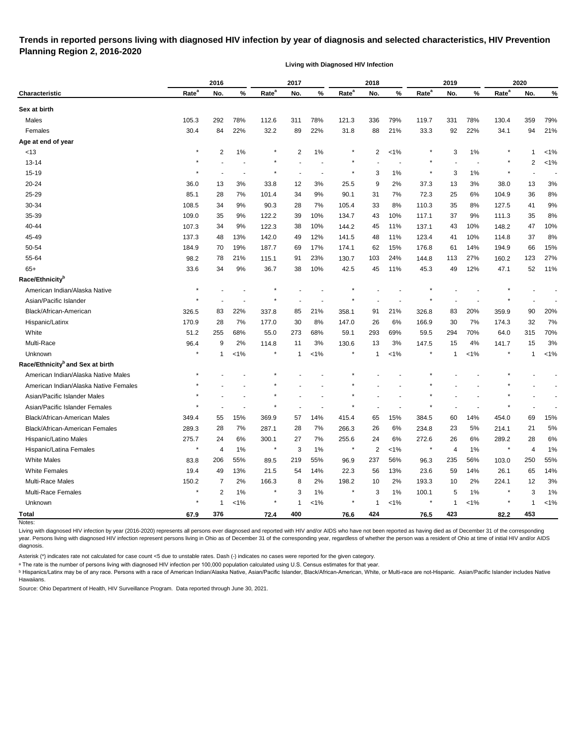# **Trends in reported persons living with diagnosed HIV infection by year of diagnosis and selected characteristics, HIV Prevention Planning Region 2, 2016-2020**

**Living with Diagnosed HIV Infection**

| Rate <sup>a</sup><br>Rate <sup>a</sup><br>Rate <sup>a</sup><br>Rate <sup>a</sup><br>Rate <sup>a</sup><br>%<br>%<br>%<br>No.<br>No.<br>No.<br>No.<br>%<br>No.<br><b>Characteristic</b><br>Sex at birth<br>78%<br>Males<br>105.3<br>292<br>112.6<br>311<br>78%<br>121.3<br>336<br>79%<br>119.7<br>331<br>78%<br>130.4<br>359<br>79%<br>30.4<br>21%<br>Females<br>84<br>22%<br>32.2<br>89<br>22%<br>31.8<br>88<br>21%<br>33.3<br>92<br>22%<br>34.1<br>94<br>Age at end of year<br>$\star$<br>2<br>$\overline{2}$<br>$1\%$<br>$\overline{2}$<br>1%<br>3<br>1%<br>1%<br><13<br>1%<br>1<br>2<br>$13 - 14$<br>$15 - 19$<br>3<br>$1\%$<br>3<br>1%<br>20-24<br>12<br>3%<br>9<br>37.3<br>36.0<br>13<br>3%<br>33.8<br>25.5<br>2%<br>13<br>3%<br>38.0<br>13<br>25-29<br>72.3<br>85.1<br>28<br>7%<br>101.4<br>34<br>9%<br>90.1<br>31<br>7%<br>25<br>6%<br>36<br>104.9<br>30-34<br>34<br>28<br>7%<br>33<br>8%<br>35<br>108.5<br>9%<br>105.4<br>110.3<br>8%<br>127.5<br>41<br>90.3<br>35-39<br>35<br>39<br>10%<br>10%<br>35<br>109.0<br>9%<br>122.2<br>134.7<br>43<br>117.1<br>37<br>9%<br>111.3<br>40-44<br>107.3<br>122.3<br>38<br>10%<br>144.2<br>45<br>11%<br>137.1<br>148.2<br>47<br>34<br>9%<br>43<br>10%<br>12%<br>123.4<br>45-49<br>137.3<br>48<br>13%<br>142.0<br>49<br>141.5<br>48<br>11%<br>10%<br>114.8<br>37<br>41<br>50-54<br>176.8<br>184.9<br>19%<br>187.7<br>17%<br>174.1<br>62<br>15%<br>61<br>14%<br>194.9<br>66<br>70<br>69<br>55-64<br>98.2<br>78<br>21%<br>91<br>23%<br>103<br>24%<br>144.8<br>27%<br>123<br>115.1<br>130.7<br>113<br>160.2<br>$65+$<br>34<br>9%<br>38<br>10%<br>45<br>11%<br>49<br>12%<br>52<br>33.6<br>36.7<br>42.5<br>45.3<br>47.1<br>Race/Ethnicity <sup>b</sup><br>×<br>American Indian/Alaska Native<br>Asian/Pacific Islander<br>Black/African-American<br>326.5<br>83<br>22%<br>337.8<br>85<br>21%<br>358.1<br>21%<br>326.8<br>83<br>20%<br>359.9<br>90<br>91<br>Hispanic/Latinx<br>28<br>7%<br>30<br>8%<br>6%<br>166.9<br>30<br>32<br>170.9<br>177.0<br>147.0<br>26<br>7%<br>174.3<br>White<br>51.2<br>255<br>68%<br>273<br>68%<br>69%<br>59.5<br>294<br>315<br>55.0<br>59.1<br>293<br>70%<br>64.0<br>Multi-Race<br>147.5<br>96.4<br>9<br>2%<br>114.8<br>11<br>3%<br>130.6<br>13<br>3%<br>15<br>4%<br>141.7<br>15<br>Unknown<br>$\ast$<br>1%<br>$\ast$<br>$1\%$<br><1%<br>$< 1\%$<br>$\mathbf 1$<br>1<br>$\mathbf 1$<br>$\mathbf{1}$<br>-1<br>Race/Ethnicity <sup>b</sup> and Sex at birth<br>American Indian/Alaska Native Males<br>American Indian/Alaska Native Females<br>Asian/Pacific Islander Males<br>Asian/Pacific Islander Females<br>15%<br>Black/African-American Males<br>55<br>369.9<br>57<br>14%<br>415.4<br>65<br>15%<br>384.5<br>60<br>14%<br>454.0<br>69<br>349.4<br>289.3<br>28<br>7%<br>287.1<br>266.3<br>234.8<br>214.1<br>Black/African-American Females<br>28<br>7%<br>26<br>6%<br>23<br>5%<br>21<br>275.7<br>Hispanic/Latino Males<br>6%<br>300.1<br>7%<br>255.6<br>6%<br>272.6<br>289.2<br>24<br>27<br>24<br>26<br>6%<br>28<br>Hispanic/Latina Females<br>$\star$<br>1%<br>$\star$<br>3<br>$1\%$<br>$\overline{2}$<br>$< 1\%$<br>$\star$<br>4<br>$\star$<br>4<br>$^\star$<br>$1\%$<br>4<br><b>White Males</b><br>206<br>55%<br>219<br>55%<br>56%<br>56%<br>250<br>237<br>235<br>83.8<br>89.5<br>96.9<br>96.3<br>103.0<br><b>White Females</b><br>19.4<br>14%<br>23.6<br>49<br>13%<br>21.5<br>54<br>22.3<br>56<br>13%<br>59<br>14%<br>26.1<br>65<br>Multi-Race Males<br>150.2<br>166.3<br>8<br>2%<br>198.2<br>2%<br>193.3<br>224.1<br>7<br>2%<br>10<br>10<br>2%<br>12<br>Multi-Race Females<br>$\star$<br>2<br>1%<br>$\ast$<br>3<br>$1\%$<br>$\star$<br>3<br>$1\%$<br>100.1<br>3<br>5<br>$1\%$<br>Unknown<br>$\star$<br>$< 1\%$<br>$< 1\%$<br>$< 1\%$<br>$< 1\%$<br>$\mathbf{1}$<br>$\ast$<br>$\mathbf{1}$<br>$\star$<br>$\star$<br>$\mathbf{1}$<br>$\mathbf 1$<br>$\mathbf 1$<br>82.2<br><b>Total</b><br>67.9<br>376<br>72.4<br>400<br>76.6<br>424<br>76.5<br>423<br>453 |        | 2016 |  | 2017 |  | 2018 |  | 2019 |  | 2020 |         |
|-----------------------------------------------------------------------------------------------------------------------------------------------------------------------------------------------------------------------------------------------------------------------------------------------------------------------------------------------------------------------------------------------------------------------------------------------------------------------------------------------------------------------------------------------------------------------------------------------------------------------------------------------------------------------------------------------------------------------------------------------------------------------------------------------------------------------------------------------------------------------------------------------------------------------------------------------------------------------------------------------------------------------------------------------------------------------------------------------------------------------------------------------------------------------------------------------------------------------------------------------------------------------------------------------------------------------------------------------------------------------------------------------------------------------------------------------------------------------------------------------------------------------------------------------------------------------------------------------------------------------------------------------------------------------------------------------------------------------------------------------------------------------------------------------------------------------------------------------------------------------------------------------------------------------------------------------------------------------------------------------------------------------------------------------------------------------------------------------------------------------------------------------------------------------------------------------------------------------------------------------------------------------------------------------------------------------------------------------------------------------------------------------------------------------------------------------------------------------------------------------------------------------------------------------------------------------------------------------------------------------------------------------------------------------------------------------------------------------------------------------------------------------------------------------------------------------------------------------------------------------------------------------------------------------------------------------------------------------------------------------------------------------------------------------------------------------------------------------------------------------------------------------------------------------------------------------------------------------------------------------------------------------------------------------------------------------------------------------------------------------------------------------------------------------------------------------------------------------------------------------------------------------------------------------------------------------------------------------------------------------------------------------------------------------------------------------------------------------------------------------------------------------------------------------------------------------------------------------------------------------------------------------------------------------------------|--------|------|--|------|--|------|--|------|--|------|---------|
|                                                                                                                                                                                                                                                                                                                                                                                                                                                                                                                                                                                                                                                                                                                                                                                                                                                                                                                                                                                                                                                                                                                                                                                                                                                                                                                                                                                                                                                                                                                                                                                                                                                                                                                                                                                                                                                                                                                                                                                                                                                                                                                                                                                                                                                                                                                                                                                                                                                                                                                                                                                                                                                                                                                                                                                                                                                                                                                                                                                                                                                                                                                                                                                                                                                                                                                                                                                                                                                                                                                                                                                                                                                                                                                                                                                                                                                                                                                                   |        |      |  |      |  |      |  |      |  |      | %       |
|                                                                                                                                                                                                                                                                                                                                                                                                                                                                                                                                                                                                                                                                                                                                                                                                                                                                                                                                                                                                                                                                                                                                                                                                                                                                                                                                                                                                                                                                                                                                                                                                                                                                                                                                                                                                                                                                                                                                                                                                                                                                                                                                                                                                                                                                                                                                                                                                                                                                                                                                                                                                                                                                                                                                                                                                                                                                                                                                                                                                                                                                                                                                                                                                                                                                                                                                                                                                                                                                                                                                                                                                                                                                                                                                                                                                                                                                                                                                   |        |      |  |      |  |      |  |      |  |      |         |
|                                                                                                                                                                                                                                                                                                                                                                                                                                                                                                                                                                                                                                                                                                                                                                                                                                                                                                                                                                                                                                                                                                                                                                                                                                                                                                                                                                                                                                                                                                                                                                                                                                                                                                                                                                                                                                                                                                                                                                                                                                                                                                                                                                                                                                                                                                                                                                                                                                                                                                                                                                                                                                                                                                                                                                                                                                                                                                                                                                                                                                                                                                                                                                                                                                                                                                                                                                                                                                                                                                                                                                                                                                                                                                                                                                                                                                                                                                                                   |        |      |  |      |  |      |  |      |  |      |         |
|                                                                                                                                                                                                                                                                                                                                                                                                                                                                                                                                                                                                                                                                                                                                                                                                                                                                                                                                                                                                                                                                                                                                                                                                                                                                                                                                                                                                                                                                                                                                                                                                                                                                                                                                                                                                                                                                                                                                                                                                                                                                                                                                                                                                                                                                                                                                                                                                                                                                                                                                                                                                                                                                                                                                                                                                                                                                                                                                                                                                                                                                                                                                                                                                                                                                                                                                                                                                                                                                                                                                                                                                                                                                                                                                                                                                                                                                                                                                   |        |      |  |      |  |      |  |      |  |      |         |
|                                                                                                                                                                                                                                                                                                                                                                                                                                                                                                                                                                                                                                                                                                                                                                                                                                                                                                                                                                                                                                                                                                                                                                                                                                                                                                                                                                                                                                                                                                                                                                                                                                                                                                                                                                                                                                                                                                                                                                                                                                                                                                                                                                                                                                                                                                                                                                                                                                                                                                                                                                                                                                                                                                                                                                                                                                                                                                                                                                                                                                                                                                                                                                                                                                                                                                                                                                                                                                                                                                                                                                                                                                                                                                                                                                                                                                                                                                                                   |        |      |  |      |  |      |  |      |  |      |         |
|                                                                                                                                                                                                                                                                                                                                                                                                                                                                                                                                                                                                                                                                                                                                                                                                                                                                                                                                                                                                                                                                                                                                                                                                                                                                                                                                                                                                                                                                                                                                                                                                                                                                                                                                                                                                                                                                                                                                                                                                                                                                                                                                                                                                                                                                                                                                                                                                                                                                                                                                                                                                                                                                                                                                                                                                                                                                                                                                                                                                                                                                                                                                                                                                                                                                                                                                                                                                                                                                                                                                                                                                                                                                                                                                                                                                                                                                                                                                   |        |      |  |      |  |      |  |      |  |      |         |
|                                                                                                                                                                                                                                                                                                                                                                                                                                                                                                                                                                                                                                                                                                                                                                                                                                                                                                                                                                                                                                                                                                                                                                                                                                                                                                                                                                                                                                                                                                                                                                                                                                                                                                                                                                                                                                                                                                                                                                                                                                                                                                                                                                                                                                                                                                                                                                                                                                                                                                                                                                                                                                                                                                                                                                                                                                                                                                                                                                                                                                                                                                                                                                                                                                                                                                                                                                                                                                                                                                                                                                                                                                                                                                                                                                                                                                                                                                                                   |        |      |  |      |  |      |  |      |  |      | $< 1\%$ |
|                                                                                                                                                                                                                                                                                                                                                                                                                                                                                                                                                                                                                                                                                                                                                                                                                                                                                                                                                                                                                                                                                                                                                                                                                                                                                                                                                                                                                                                                                                                                                                                                                                                                                                                                                                                                                                                                                                                                                                                                                                                                                                                                                                                                                                                                                                                                                                                                                                                                                                                                                                                                                                                                                                                                                                                                                                                                                                                                                                                                                                                                                                                                                                                                                                                                                                                                                                                                                                                                                                                                                                                                                                                                                                                                                                                                                                                                                                                                   |        |      |  |      |  |      |  |      |  |      |         |
|                                                                                                                                                                                                                                                                                                                                                                                                                                                                                                                                                                                                                                                                                                                                                                                                                                                                                                                                                                                                                                                                                                                                                                                                                                                                                                                                                                                                                                                                                                                                                                                                                                                                                                                                                                                                                                                                                                                                                                                                                                                                                                                                                                                                                                                                                                                                                                                                                                                                                                                                                                                                                                                                                                                                                                                                                                                                                                                                                                                                                                                                                                                                                                                                                                                                                                                                                                                                                                                                                                                                                                                                                                                                                                                                                                                                                                                                                                                                   |        |      |  |      |  |      |  |      |  |      | 3%      |
|                                                                                                                                                                                                                                                                                                                                                                                                                                                                                                                                                                                                                                                                                                                                                                                                                                                                                                                                                                                                                                                                                                                                                                                                                                                                                                                                                                                                                                                                                                                                                                                                                                                                                                                                                                                                                                                                                                                                                                                                                                                                                                                                                                                                                                                                                                                                                                                                                                                                                                                                                                                                                                                                                                                                                                                                                                                                                                                                                                                                                                                                                                                                                                                                                                                                                                                                                                                                                                                                                                                                                                                                                                                                                                                                                                                                                                                                                                                                   |        |      |  |      |  |      |  |      |  |      | $8%$    |
|                                                                                                                                                                                                                                                                                                                                                                                                                                                                                                                                                                                                                                                                                                                                                                                                                                                                                                                                                                                                                                                                                                                                                                                                                                                                                                                                                                                                                                                                                                                                                                                                                                                                                                                                                                                                                                                                                                                                                                                                                                                                                                                                                                                                                                                                                                                                                                                                                                                                                                                                                                                                                                                                                                                                                                                                                                                                                                                                                                                                                                                                                                                                                                                                                                                                                                                                                                                                                                                                                                                                                                                                                                                                                                                                                                                                                                                                                                                                   |        |      |  |      |  |      |  |      |  |      | $9%$    |
|                                                                                                                                                                                                                                                                                                                                                                                                                                                                                                                                                                                                                                                                                                                                                                                                                                                                                                                                                                                                                                                                                                                                                                                                                                                                                                                                                                                                                                                                                                                                                                                                                                                                                                                                                                                                                                                                                                                                                                                                                                                                                                                                                                                                                                                                                                                                                                                                                                                                                                                                                                                                                                                                                                                                                                                                                                                                                                                                                                                                                                                                                                                                                                                                                                                                                                                                                                                                                                                                                                                                                                                                                                                                                                                                                                                                                                                                                                                                   |        |      |  |      |  |      |  |      |  |      | 8%      |
|                                                                                                                                                                                                                                                                                                                                                                                                                                                                                                                                                                                                                                                                                                                                                                                                                                                                                                                                                                                                                                                                                                                                                                                                                                                                                                                                                                                                                                                                                                                                                                                                                                                                                                                                                                                                                                                                                                                                                                                                                                                                                                                                                                                                                                                                                                                                                                                                                                                                                                                                                                                                                                                                                                                                                                                                                                                                                                                                                                                                                                                                                                                                                                                                                                                                                                                                                                                                                                                                                                                                                                                                                                                                                                                                                                                                                                                                                                                                   |        |      |  |      |  |      |  |      |  |      | 10%     |
|                                                                                                                                                                                                                                                                                                                                                                                                                                                                                                                                                                                                                                                                                                                                                                                                                                                                                                                                                                                                                                                                                                                                                                                                                                                                                                                                                                                                                                                                                                                                                                                                                                                                                                                                                                                                                                                                                                                                                                                                                                                                                                                                                                                                                                                                                                                                                                                                                                                                                                                                                                                                                                                                                                                                                                                                                                                                                                                                                                                                                                                                                                                                                                                                                                                                                                                                                                                                                                                                                                                                                                                                                                                                                                                                                                                                                                                                                                                                   |        |      |  |      |  |      |  |      |  |      | 8%      |
|                                                                                                                                                                                                                                                                                                                                                                                                                                                                                                                                                                                                                                                                                                                                                                                                                                                                                                                                                                                                                                                                                                                                                                                                                                                                                                                                                                                                                                                                                                                                                                                                                                                                                                                                                                                                                                                                                                                                                                                                                                                                                                                                                                                                                                                                                                                                                                                                                                                                                                                                                                                                                                                                                                                                                                                                                                                                                                                                                                                                                                                                                                                                                                                                                                                                                                                                                                                                                                                                                                                                                                                                                                                                                                                                                                                                                                                                                                                                   |        |      |  |      |  |      |  |      |  |      | 15%     |
|                                                                                                                                                                                                                                                                                                                                                                                                                                                                                                                                                                                                                                                                                                                                                                                                                                                                                                                                                                                                                                                                                                                                                                                                                                                                                                                                                                                                                                                                                                                                                                                                                                                                                                                                                                                                                                                                                                                                                                                                                                                                                                                                                                                                                                                                                                                                                                                                                                                                                                                                                                                                                                                                                                                                                                                                                                                                                                                                                                                                                                                                                                                                                                                                                                                                                                                                                                                                                                                                                                                                                                                                                                                                                                                                                                                                                                                                                                                                   |        |      |  |      |  |      |  |      |  |      | 27%     |
|                                                                                                                                                                                                                                                                                                                                                                                                                                                                                                                                                                                                                                                                                                                                                                                                                                                                                                                                                                                                                                                                                                                                                                                                                                                                                                                                                                                                                                                                                                                                                                                                                                                                                                                                                                                                                                                                                                                                                                                                                                                                                                                                                                                                                                                                                                                                                                                                                                                                                                                                                                                                                                                                                                                                                                                                                                                                                                                                                                                                                                                                                                                                                                                                                                                                                                                                                                                                                                                                                                                                                                                                                                                                                                                                                                                                                                                                                                                                   |        |      |  |      |  |      |  |      |  |      | 11%     |
|                                                                                                                                                                                                                                                                                                                                                                                                                                                                                                                                                                                                                                                                                                                                                                                                                                                                                                                                                                                                                                                                                                                                                                                                                                                                                                                                                                                                                                                                                                                                                                                                                                                                                                                                                                                                                                                                                                                                                                                                                                                                                                                                                                                                                                                                                                                                                                                                                                                                                                                                                                                                                                                                                                                                                                                                                                                                                                                                                                                                                                                                                                                                                                                                                                                                                                                                                                                                                                                                                                                                                                                                                                                                                                                                                                                                                                                                                                                                   |        |      |  |      |  |      |  |      |  |      |         |
|                                                                                                                                                                                                                                                                                                                                                                                                                                                                                                                                                                                                                                                                                                                                                                                                                                                                                                                                                                                                                                                                                                                                                                                                                                                                                                                                                                                                                                                                                                                                                                                                                                                                                                                                                                                                                                                                                                                                                                                                                                                                                                                                                                                                                                                                                                                                                                                                                                                                                                                                                                                                                                                                                                                                                                                                                                                                                                                                                                                                                                                                                                                                                                                                                                                                                                                                                                                                                                                                                                                                                                                                                                                                                                                                                                                                                                                                                                                                   |        |      |  |      |  |      |  |      |  |      |         |
|                                                                                                                                                                                                                                                                                                                                                                                                                                                                                                                                                                                                                                                                                                                                                                                                                                                                                                                                                                                                                                                                                                                                                                                                                                                                                                                                                                                                                                                                                                                                                                                                                                                                                                                                                                                                                                                                                                                                                                                                                                                                                                                                                                                                                                                                                                                                                                                                                                                                                                                                                                                                                                                                                                                                                                                                                                                                                                                                                                                                                                                                                                                                                                                                                                                                                                                                                                                                                                                                                                                                                                                                                                                                                                                                                                                                                                                                                                                                   |        |      |  |      |  |      |  |      |  |      |         |
|                                                                                                                                                                                                                                                                                                                                                                                                                                                                                                                                                                                                                                                                                                                                                                                                                                                                                                                                                                                                                                                                                                                                                                                                                                                                                                                                                                                                                                                                                                                                                                                                                                                                                                                                                                                                                                                                                                                                                                                                                                                                                                                                                                                                                                                                                                                                                                                                                                                                                                                                                                                                                                                                                                                                                                                                                                                                                                                                                                                                                                                                                                                                                                                                                                                                                                                                                                                                                                                                                                                                                                                                                                                                                                                                                                                                                                                                                                                                   |        |      |  |      |  |      |  |      |  |      | 20%     |
|                                                                                                                                                                                                                                                                                                                                                                                                                                                                                                                                                                                                                                                                                                                                                                                                                                                                                                                                                                                                                                                                                                                                                                                                                                                                                                                                                                                                                                                                                                                                                                                                                                                                                                                                                                                                                                                                                                                                                                                                                                                                                                                                                                                                                                                                                                                                                                                                                                                                                                                                                                                                                                                                                                                                                                                                                                                                                                                                                                                                                                                                                                                                                                                                                                                                                                                                                                                                                                                                                                                                                                                                                                                                                                                                                                                                                                                                                                                                   |        |      |  |      |  |      |  |      |  |      | 7%      |
|                                                                                                                                                                                                                                                                                                                                                                                                                                                                                                                                                                                                                                                                                                                                                                                                                                                                                                                                                                                                                                                                                                                                                                                                                                                                                                                                                                                                                                                                                                                                                                                                                                                                                                                                                                                                                                                                                                                                                                                                                                                                                                                                                                                                                                                                                                                                                                                                                                                                                                                                                                                                                                                                                                                                                                                                                                                                                                                                                                                                                                                                                                                                                                                                                                                                                                                                                                                                                                                                                                                                                                                                                                                                                                                                                                                                                                                                                                                                   |        |      |  |      |  |      |  |      |  |      | 70%     |
|                                                                                                                                                                                                                                                                                                                                                                                                                                                                                                                                                                                                                                                                                                                                                                                                                                                                                                                                                                                                                                                                                                                                                                                                                                                                                                                                                                                                                                                                                                                                                                                                                                                                                                                                                                                                                                                                                                                                                                                                                                                                                                                                                                                                                                                                                                                                                                                                                                                                                                                                                                                                                                                                                                                                                                                                                                                                                                                                                                                                                                                                                                                                                                                                                                                                                                                                                                                                                                                                                                                                                                                                                                                                                                                                                                                                                                                                                                                                   |        |      |  |      |  |      |  |      |  |      | 3%      |
|                                                                                                                                                                                                                                                                                                                                                                                                                                                                                                                                                                                                                                                                                                                                                                                                                                                                                                                                                                                                                                                                                                                                                                                                                                                                                                                                                                                                                                                                                                                                                                                                                                                                                                                                                                                                                                                                                                                                                                                                                                                                                                                                                                                                                                                                                                                                                                                                                                                                                                                                                                                                                                                                                                                                                                                                                                                                                                                                                                                                                                                                                                                                                                                                                                                                                                                                                                                                                                                                                                                                                                                                                                                                                                                                                                                                                                                                                                                                   |        |      |  |      |  |      |  |      |  |      | $< 1\%$ |
|                                                                                                                                                                                                                                                                                                                                                                                                                                                                                                                                                                                                                                                                                                                                                                                                                                                                                                                                                                                                                                                                                                                                                                                                                                                                                                                                                                                                                                                                                                                                                                                                                                                                                                                                                                                                                                                                                                                                                                                                                                                                                                                                                                                                                                                                                                                                                                                                                                                                                                                                                                                                                                                                                                                                                                                                                                                                                                                                                                                                                                                                                                                                                                                                                                                                                                                                                                                                                                                                                                                                                                                                                                                                                                                                                                                                                                                                                                                                   |        |      |  |      |  |      |  |      |  |      |         |
|                                                                                                                                                                                                                                                                                                                                                                                                                                                                                                                                                                                                                                                                                                                                                                                                                                                                                                                                                                                                                                                                                                                                                                                                                                                                                                                                                                                                                                                                                                                                                                                                                                                                                                                                                                                                                                                                                                                                                                                                                                                                                                                                                                                                                                                                                                                                                                                                                                                                                                                                                                                                                                                                                                                                                                                                                                                                                                                                                                                                                                                                                                                                                                                                                                                                                                                                                                                                                                                                                                                                                                                                                                                                                                                                                                                                                                                                                                                                   |        |      |  |      |  |      |  |      |  |      |         |
|                                                                                                                                                                                                                                                                                                                                                                                                                                                                                                                                                                                                                                                                                                                                                                                                                                                                                                                                                                                                                                                                                                                                                                                                                                                                                                                                                                                                                                                                                                                                                                                                                                                                                                                                                                                                                                                                                                                                                                                                                                                                                                                                                                                                                                                                                                                                                                                                                                                                                                                                                                                                                                                                                                                                                                                                                                                                                                                                                                                                                                                                                                                                                                                                                                                                                                                                                                                                                                                                                                                                                                                                                                                                                                                                                                                                                                                                                                                                   |        |      |  |      |  |      |  |      |  |      |         |
|                                                                                                                                                                                                                                                                                                                                                                                                                                                                                                                                                                                                                                                                                                                                                                                                                                                                                                                                                                                                                                                                                                                                                                                                                                                                                                                                                                                                                                                                                                                                                                                                                                                                                                                                                                                                                                                                                                                                                                                                                                                                                                                                                                                                                                                                                                                                                                                                                                                                                                                                                                                                                                                                                                                                                                                                                                                                                                                                                                                                                                                                                                                                                                                                                                                                                                                                                                                                                                                                                                                                                                                                                                                                                                                                                                                                                                                                                                                                   |        |      |  |      |  |      |  |      |  |      |         |
|                                                                                                                                                                                                                                                                                                                                                                                                                                                                                                                                                                                                                                                                                                                                                                                                                                                                                                                                                                                                                                                                                                                                                                                                                                                                                                                                                                                                                                                                                                                                                                                                                                                                                                                                                                                                                                                                                                                                                                                                                                                                                                                                                                                                                                                                                                                                                                                                                                                                                                                                                                                                                                                                                                                                                                                                                                                                                                                                                                                                                                                                                                                                                                                                                                                                                                                                                                                                                                                                                                                                                                                                                                                                                                                                                                                                                                                                                                                                   |        |      |  |      |  |      |  |      |  |      |         |
|                                                                                                                                                                                                                                                                                                                                                                                                                                                                                                                                                                                                                                                                                                                                                                                                                                                                                                                                                                                                                                                                                                                                                                                                                                                                                                                                                                                                                                                                                                                                                                                                                                                                                                                                                                                                                                                                                                                                                                                                                                                                                                                                                                                                                                                                                                                                                                                                                                                                                                                                                                                                                                                                                                                                                                                                                                                                                                                                                                                                                                                                                                                                                                                                                                                                                                                                                                                                                                                                                                                                                                                                                                                                                                                                                                                                                                                                                                                                   |        |      |  |      |  |      |  |      |  |      | 15%     |
|                                                                                                                                                                                                                                                                                                                                                                                                                                                                                                                                                                                                                                                                                                                                                                                                                                                                                                                                                                                                                                                                                                                                                                                                                                                                                                                                                                                                                                                                                                                                                                                                                                                                                                                                                                                                                                                                                                                                                                                                                                                                                                                                                                                                                                                                                                                                                                                                                                                                                                                                                                                                                                                                                                                                                                                                                                                                                                                                                                                                                                                                                                                                                                                                                                                                                                                                                                                                                                                                                                                                                                                                                                                                                                                                                                                                                                                                                                                                   |        |      |  |      |  |      |  |      |  |      | 5%      |
|                                                                                                                                                                                                                                                                                                                                                                                                                                                                                                                                                                                                                                                                                                                                                                                                                                                                                                                                                                                                                                                                                                                                                                                                                                                                                                                                                                                                                                                                                                                                                                                                                                                                                                                                                                                                                                                                                                                                                                                                                                                                                                                                                                                                                                                                                                                                                                                                                                                                                                                                                                                                                                                                                                                                                                                                                                                                                                                                                                                                                                                                                                                                                                                                                                                                                                                                                                                                                                                                                                                                                                                                                                                                                                                                                                                                                                                                                                                                   |        |      |  |      |  |      |  |      |  |      | $6\%$   |
|                                                                                                                                                                                                                                                                                                                                                                                                                                                                                                                                                                                                                                                                                                                                                                                                                                                                                                                                                                                                                                                                                                                                                                                                                                                                                                                                                                                                                                                                                                                                                                                                                                                                                                                                                                                                                                                                                                                                                                                                                                                                                                                                                                                                                                                                                                                                                                                                                                                                                                                                                                                                                                                                                                                                                                                                                                                                                                                                                                                                                                                                                                                                                                                                                                                                                                                                                                                                                                                                                                                                                                                                                                                                                                                                                                                                                                                                                                                                   |        |      |  |      |  |      |  |      |  |      | 1%      |
|                                                                                                                                                                                                                                                                                                                                                                                                                                                                                                                                                                                                                                                                                                                                                                                                                                                                                                                                                                                                                                                                                                                                                                                                                                                                                                                                                                                                                                                                                                                                                                                                                                                                                                                                                                                                                                                                                                                                                                                                                                                                                                                                                                                                                                                                                                                                                                                                                                                                                                                                                                                                                                                                                                                                                                                                                                                                                                                                                                                                                                                                                                                                                                                                                                                                                                                                                                                                                                                                                                                                                                                                                                                                                                                                                                                                                                                                                                                                   |        |      |  |      |  |      |  |      |  |      | 55%     |
|                                                                                                                                                                                                                                                                                                                                                                                                                                                                                                                                                                                                                                                                                                                                                                                                                                                                                                                                                                                                                                                                                                                                                                                                                                                                                                                                                                                                                                                                                                                                                                                                                                                                                                                                                                                                                                                                                                                                                                                                                                                                                                                                                                                                                                                                                                                                                                                                                                                                                                                                                                                                                                                                                                                                                                                                                                                                                                                                                                                                                                                                                                                                                                                                                                                                                                                                                                                                                                                                                                                                                                                                                                                                                                                                                                                                                                                                                                                                   |        |      |  |      |  |      |  |      |  |      | 14%     |
|                                                                                                                                                                                                                                                                                                                                                                                                                                                                                                                                                                                                                                                                                                                                                                                                                                                                                                                                                                                                                                                                                                                                                                                                                                                                                                                                                                                                                                                                                                                                                                                                                                                                                                                                                                                                                                                                                                                                                                                                                                                                                                                                                                                                                                                                                                                                                                                                                                                                                                                                                                                                                                                                                                                                                                                                                                                                                                                                                                                                                                                                                                                                                                                                                                                                                                                                                                                                                                                                                                                                                                                                                                                                                                                                                                                                                                                                                                                                   |        |      |  |      |  |      |  |      |  |      | $3%$    |
|                                                                                                                                                                                                                                                                                                                                                                                                                                                                                                                                                                                                                                                                                                                                                                                                                                                                                                                                                                                                                                                                                                                                                                                                                                                                                                                                                                                                                                                                                                                                                                                                                                                                                                                                                                                                                                                                                                                                                                                                                                                                                                                                                                                                                                                                                                                                                                                                                                                                                                                                                                                                                                                                                                                                                                                                                                                                                                                                                                                                                                                                                                                                                                                                                                                                                                                                                                                                                                                                                                                                                                                                                                                                                                                                                                                                                                                                                                                                   |        |      |  |      |  |      |  |      |  |      | 1%      |
|                                                                                                                                                                                                                                                                                                                                                                                                                                                                                                                                                                                                                                                                                                                                                                                                                                                                                                                                                                                                                                                                                                                                                                                                                                                                                                                                                                                                                                                                                                                                                                                                                                                                                                                                                                                                                                                                                                                                                                                                                                                                                                                                                                                                                                                                                                                                                                                                                                                                                                                                                                                                                                                                                                                                                                                                                                                                                                                                                                                                                                                                                                                                                                                                                                                                                                                                                                                                                                                                                                                                                                                                                                                                                                                                                                                                                                                                                                                                   |        |      |  |      |  |      |  |      |  |      | $< 1\%$ |
|                                                                                                                                                                                                                                                                                                                                                                                                                                                                                                                                                                                                                                                                                                                                                                                                                                                                                                                                                                                                                                                                                                                                                                                                                                                                                                                                                                                                                                                                                                                                                                                                                                                                                                                                                                                                                                                                                                                                                                                                                                                                                                                                                                                                                                                                                                                                                                                                                                                                                                                                                                                                                                                                                                                                                                                                                                                                                                                                                                                                                                                                                                                                                                                                                                                                                                                                                                                                                                                                                                                                                                                                                                                                                                                                                                                                                                                                                                                                   | Notes: |      |  |      |  |      |  |      |  |      |         |

Living with diagnosed HIV infection by year (2016-2020) represents all persons ever diagnosed and reported with HIV and/or AIDS who have not been reported as having died as of December 31 of the corresponding year. Persons living with diagnosed HIV infection represent persons living in Ohio as of December 31 of the corresponding year, regardless of whether the person was a resident of Ohio at time of initial HIV and/or AIDS diagnosis.

Asterisk (\*) indicates rate not calculated for case count <5 due to unstable rates. Dash (-) indicates no cases were reported for the given category.

a The rate is the number of persons living with diagnosed HIV infection per 100,000 population calculated using U.S. Census estimates for that year.

**b** Hispanics/Latinx may be of any race. Persons with a race of American Indian/Alaska Native, Asian/Pacific Islander, Black/African-American, White, or Multi-race are not-Hispanic. Asian/Pacific Islander includes Native Hawaiians.